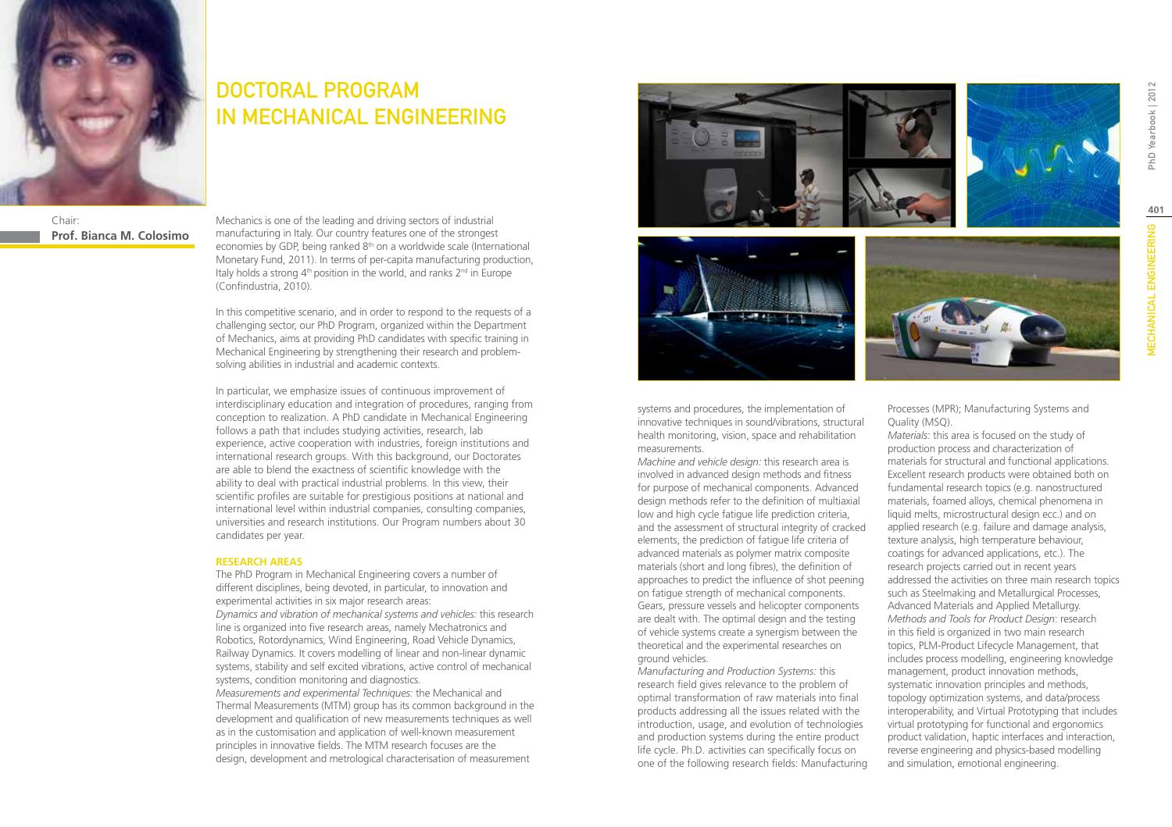

# DOCTORAL PROGRAM IN MECHANICAL ENGINEERING

Chair: **Prof. Bianca M. Colosimo** Mechanics is one of the leading and driving sectors of industrial manufacturing in Italy. Our country features one of the strongest economies by GDP, being ranked 8th on a worldwide scale (International Monetary Fund, 2011). In terms of per-capita manufacturing production, Italy holds a strong  $4<sup>th</sup>$  position in the world, and ranks  $2<sup>nd</sup>$  in Europe (Confindustria, 2010).

In this competitive scenario, and in order to respond to the requests of a challenging sector, our PhD Program, organized within the Department of Mechanics, aims at providing PhD candidates with specific training in Mechanical Engineering by strengthening their research and problemsolving abilities in industrial and academic contexts.

In particular, we emphasize issues of continuous improvement of interdisciplinary education and integration of procedures, ranging from conception to realization. A PhD candidate in Mechanical Engineering follows a path that includes studying activities, research, lab experience, active cooperation with industries, foreign institutions and international research groups. With this background, our Doctorates are able to blend the exactness of scientific knowledge with the ability to deal with practical industrial problems. In this view, their scientific profiles are suitable for prestigious positions at national and international level within industrial companies, consulting companies, universities and research institutions. Our Program numbers about 30 candidates per year.

#### **RESEARCH AREAS**

The PhD Program in Mechanical Engineering covers a number of different disciplines, being devoted, in particular, to innovation and experimental activities in six major research areas: *Dynamics and vibration of mechanical systems and vehicles:* this research line is organized into five research areas, namely Mechatronics and Robotics, Rotordynamics, Wind Engineering, Road Vehicle Dynamics, Railway Dynamics. It covers modelling of linear and non-linear dynamic systems, stability and self excited vibrations, active control of mechanical systems, condition monitoring and diagnostics. *Measurements and experimental Techniques:* the Mechanical and

Thermal Measurements (MTM) group has its common background in the development and qualification of new measurements techniques as well as in the customisation and application of well-known measurement principles in innovative fields. The MTM research focuses are the design, development and metrological characterisation of measurement







systems and procedures, the implementation of innovative techniques in sound/vibrations, structural health monitoring, vision, space and rehabilitation measurements.

*Machine and vehicle design:* this research area is involved in advanced design methods and fitness for purpose of mechanical components. Advanced design methods refer to the definition of multiaxial low and high cycle fatigue life prediction criteria, and the assessment of structural integrity of cracked elements, the prediction of fatigue life criteria of advanced materials as polymer matrix composite materials (short and long fibres), the definition of approaches to predict the influence of shot peening on fatigue strength of mechanical components. Gears, pressure vessels and helicopter components are dealt with. The optimal design and the testing of vehicle systems create a synergism between the theoretical and the experimental researches on ground vehicles.

*Manufacturing and Production Systems:* this research field gives relevance to the problem of optimal transformation of raw materials into final products addressing all the issues related with the introduction, usage, and evolution of technologies and production systems during the entire product life cycle. Ph.D. activities can specifically focus on one of the following research fields: Manufacturing Processes (MPR); Manufacturing Systems and Quality (MSQ).

*Materials*: this area is focused on the study of production process and characterization of materials for structural and functional applications. Excellent research products were obtained both on fundamental research topics (e.g. nanostructured materials, foamed alloys, chemical phenomena in liquid melts, microstructural design ecc.) and on applied research (e.g. failure and damage analysis, texture analysis, high temperature behaviour, coatings for advanced applications, etc.). The research projects carried out in recent years addressed the activities on three main research topics such as Steelmaking and Metallurgical Processes, Advanced Materials and Applied Metallurgy. *Methods and Tools for Product Design*: research in this field is organized in two main research topics, PLM-Product Lifecycle Management, that includes process modelling, engineering knowledge management, product innovation methods, systematic innovation principles and methods, topology optimization systems, and data/process interoperability, and Virtual Prototyping that includes virtual prototyping for functional and ergonomics product validation, haptic interfaces and interaction, reverse engineering and physics-based modelling and simulation, emotional engineering.

PhD Yearbook | 2012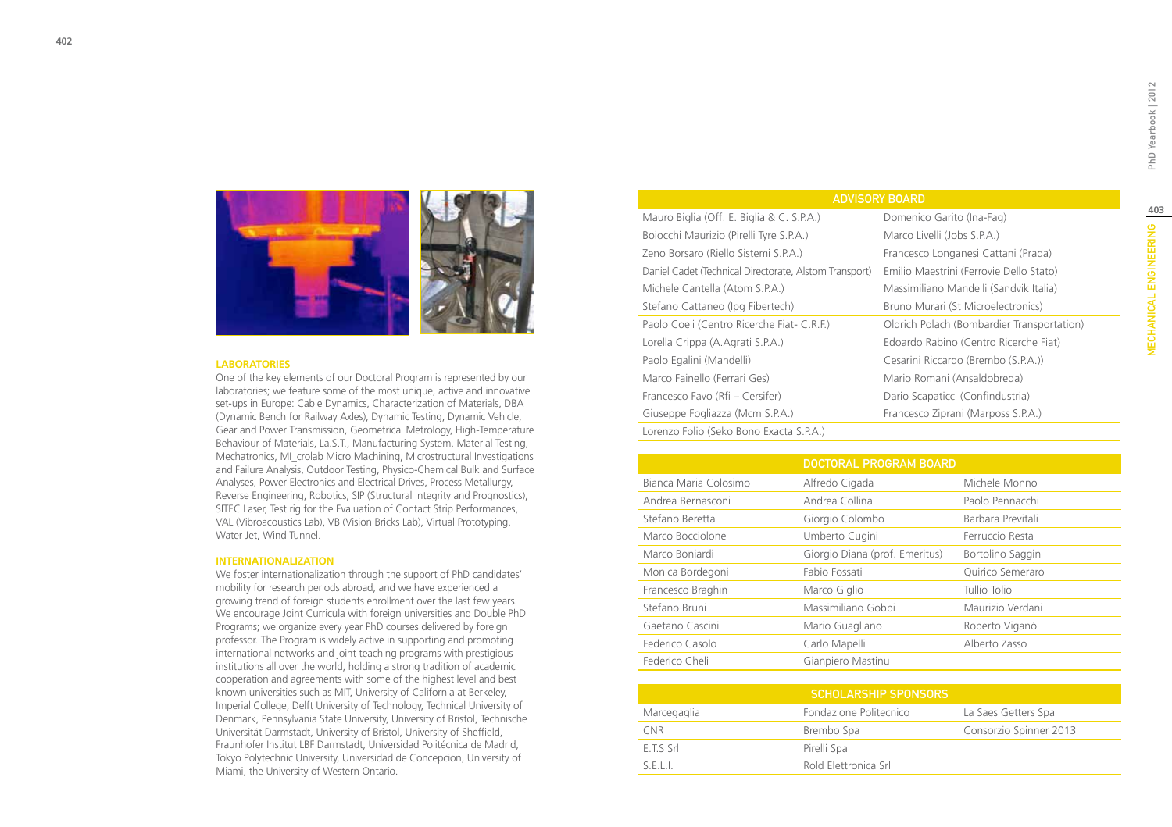

#### **LABORATORIES**

One of the key elements of our Doctoral Program is represented by our laboratories; we feature some of the most unique, active and innovative set-ups in Europe: Cable Dynamics, Characterization of Materials, DBA (Dynamic Bench for Railway Axles), Dynamic Testing, Dynamic Vehicle, Gear and Power Transmission, Geometrical Metrology, High-Temperature Behaviour of Materials, La.S.T., Manufacturing System, Material Testing, Mechatronics, MI\_crolab Micro Machining, Microstructural Investigations and Failure Analysis, Outdoor Testing, Physico-Chemical Bulk and Surface Analyses, Power Electronics and Electrical Drives, Process Metallurgy, Reverse Engineering, Robotics, SIP (Structural Integrity and Prognostics), SITEC Laser, Test rig for the Evaluation of Contact Strip Performances, VAL (Vibroacoustics Lab), VB (Vision Bricks Lab), Virtual Prototyping, Water Jet, Wind Tunnel.

#### **INTERNATIONALIZATION**

We foster internationalization through the support of PhD candidates' mobility for research periods abroad, and we have experienced a growing trend of foreign students enrollment over the last few years. We encourage Joint Curricula with foreign universities and Double PhD Programs; we organize every year PhD courses delivered by foreign professor. The Program is widely active in supporting and promoting international networks and joint teaching programs with prestigious institutions all over the world, holding a strong tradition of academic cooperation and agreements with some of the highest level and best known universities such as MIT, University of California at Berkeley, Imperial College, Delft University of Technology, Technical University of Denmark, Pennsylvania State University, University of Bristol, Technische Universität Darmstadt, University of Bristol, University of Sheffield, Fraunhofer Institut LBF Darmstadt, Universidad Politécnica de Madrid, Tokyo Polytechnic University, Universidad de Concepcion, University of Miami, the University of Western Ontario.

| <b>ADVISORY BOARD</b>                                  |                                            |  |  |  |
|--------------------------------------------------------|--------------------------------------------|--|--|--|
| Mauro Biglia (Off. E. Biglia & C. S.P.A.)              | Domenico Garito (Ina-Fag)                  |  |  |  |
| Boiocchi Maurizio (Pirelli Tyre S.P.A.)                | Marco Livelli (Jobs S.P.A.)                |  |  |  |
| Zeno Borsaro (Riello Sistemi S.P.A.)                   | Francesco Longanesi Cattani (Prada)        |  |  |  |
| Daniel Cadet (Technical Directorate, Alstom Transport) | Emilio Maestrini (Ferrovie Dello Stato)    |  |  |  |
| Michele Cantella (Atom S.P.A.)                         | Massimiliano Mandelli (Sandvik Italia)     |  |  |  |
| Stefano Cattaneo (Ipg Fibertech)                       | Bruno Murari (St Microelectronics)         |  |  |  |
| Paolo Coeli (Centro Ricerche Fiat- C.R.F.)             | Oldrich Polach (Bombardier Transportation) |  |  |  |
| Lorella Crippa (A. Agrati S.P.A.)                      | Edoardo Rabino (Centro Ricerche Fiat)      |  |  |  |
| Paolo Egalini (Mandelli)                               | Cesarini Riccardo (Brembo (S.P.A.))        |  |  |  |
| Marco Fainello (Ferrari Ges)                           | Mario Romani (Ansaldobreda)                |  |  |  |
| Francesco Favo (Rfi – Cersifer)                        | Dario Scapaticci (Confindustria)           |  |  |  |
| Giuseppe Fogliazza (Mcm S.P.A.)                        | Francesco Ziprani (Marposs S.P.A.)         |  |  |  |
| Lorenzo Folio (Seko Bono Exacta S.P.A.)                |                                            |  |  |  |

|                       | <b>DOCTORAL PROGRAM BOARD</b>  |                   |
|-----------------------|--------------------------------|-------------------|
| Bianca Maria Colosimo | Alfredo Cigada                 | Michele Monno     |
| Andrea Bernasconi     | Andrea Collina                 | Paolo Pennacchi   |
| Stefano Beretta       | Giorgio Colombo                | Barbara Previtali |
| Marco Bocciolone      | Umberto Cugini                 | Ferruccio Resta   |
| Marco Bonjardi        | Giorgio Diana (prof. Emeritus) | Bortolino Saggin  |
| Monica Bordegoni      | Fabio Fossati                  | Quirico Semeraro  |
| Francesco Braghin     | Marco Giglio                   | Tullio Tolio      |
| Stefano Bruni         | Massimiliano Gobbi             | Maurizio Verdani  |
| Gaetano Cascini       | Mario Guagliano                | Roberto Viganò    |
| Federico Casolo       | Carlo Mapelli                  | Alberto Zasso     |
| Federico Cheli        | Gianpiero Mastinu              |                   |
|                       |                                |                   |

| <b>SCHOLARSHIP SPONSORS</b> |                        |                        |  |
|-----------------------------|------------------------|------------------------|--|
| Marcegaglia                 | Fondazione Politecnico | La Saes Getters Spa    |  |
| CNR                         | Brembo Spa             | Consorzio Spinner 2013 |  |
| E.T.S Srl                   | Pirelli Spa            |                        |  |
| SEII                        | Rold Elettronica Srl   |                        |  |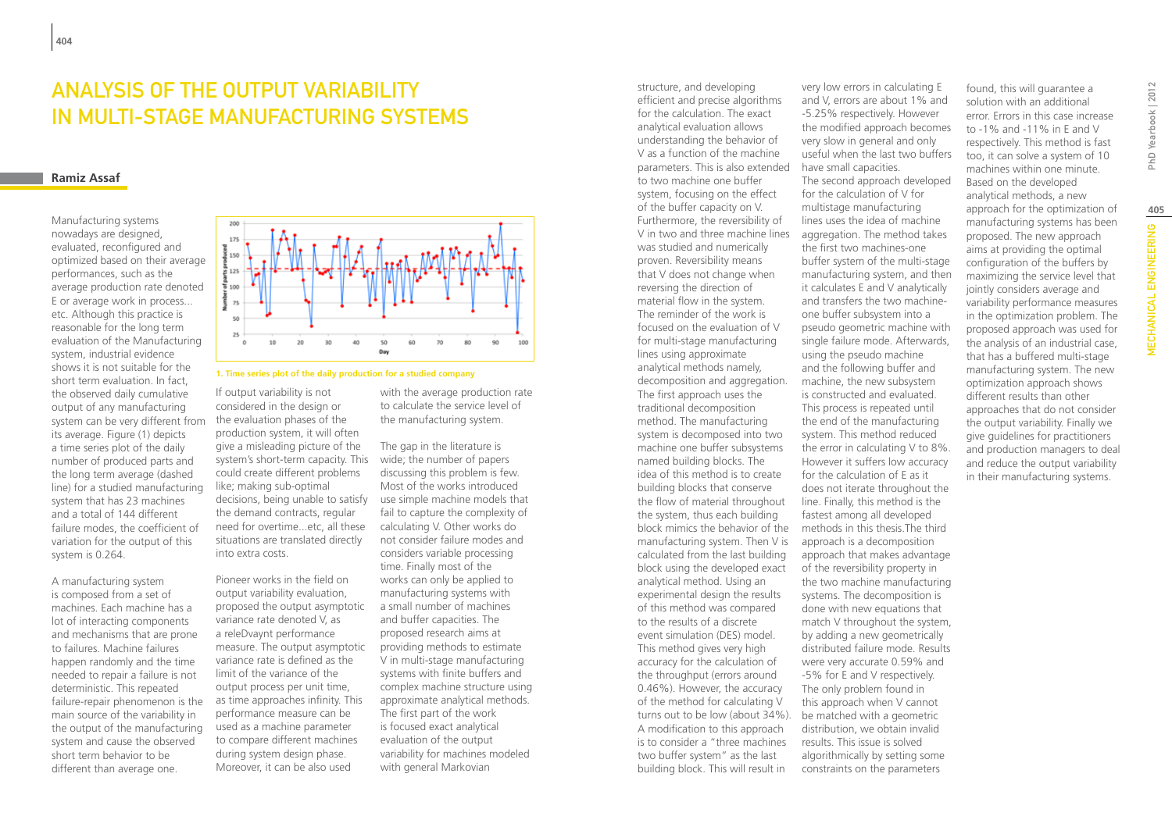### Analysis of the output variability in multi-stage manufacturing systems

### **Ramiz Assaf**

Manufacturing systems nowadays are designed, evaluated, reconfigured and optimized based on their average performances, such as the average production rate denoted E or average work in process... etc. Although this practice is reasonable for the long term evaluation of the Manufacturing system, industrial evidence shows it is not suitable for the short term evaluation. In fact the observed daily cumulative output of any manufacturing system can be very different from its average. Figure (1) depicts a time series plot of the daily number of produced parts and the long term average (dashed line) for a studied manufacturing system that has 23 machines and a total of 144 different failure modes, the coefficient of variation for the output of this system is 0.264.

A manufacturing system is composed from a set of machines. Each machine has a lot of interacting components and mechanisms that are prone to failures. Machine failures happen randomly and the time needed to repair a failure is not deterministic. This repeated failure-repair phenomenon is the main source of the variability in the output of the manufacturing system and cause the observed short term behavior to be different than average one.



### **1. Time series plot of the daily production for a studied company**

If output variability is not considered in the design or the evaluation phases of the production system, it will often give a misleading picture of the system's short-term capacity. This wide; the number of papers could create different problems like; making sub-optimal decisions, being unable to satisfy the demand contracts, regular need for overtime...etc, all these situations are translated directly into extra costs.

Pioneer works in the field on output variability evaluation, proposed the output asymptotic variance rate denoted V, as a releDvaynt performance measure. The output asymptotic variance rate is defined as the limit of the variance of the output process per unit time, as time approaches infinity. This performance measure can be used as a machine parameter to compare different machines during system design phase. Moreover, it can be also used

with the average production rate to calculate the service level of the manufacturing system.

The gap in the literature is discussing this problem is few. Most of the works introduced use simple machine models that fail to capture the complexity of calculating V. Other works do not consider failure modes and considers variable processing time. Finally most of the works can only be applied to manufacturing systems with a small number of machines and buffer capacities. The proposed research aims at providing methods to estimate V in multi-stage manufacturing systems with finite buffers and complex machine structure using approximate analytical methods. The first part of the work is focused exact analytical evaluation of the output variability for machines modeled with general Markovian

structure, and developing efficient and precise algorithms for the calculation. The exact analytical evaluation allows understanding the behavior of V as a function of the machine parameters. This is also extended to two machine one buffer system, focusing on the effect of the buffer capacity on V. Furthermore, the reversibility of V in two and three machine lines was studied and numerically proven. Reversibility means that V does not change when reversing the direction of material flow in the system. The reminder of the work is focused on the evaluation of V for multi-stage manufacturing lines using approximate analytical methods namely, decomposition and aggregation. The first approach uses the traditional decomposition method. The manufacturing system is decomposed into two machine one buffer subsystems named building blocks. The idea of this method is to create building blocks that conserve the flow of material throughout the system, thus each building block mimics the behavior of the manufacturing system. Then V is calculated from the last building block using the developed exact analytical method. Using an experimental design the results of this method was compared to the results of a discrete event simulation (DES) model. This method gives very high accuracy for the calculation of the throughput (errors around 0.46%). However, the accuracy of the method for calculating V turns out to be low (about 34%). A modification to this approach is to consider a "three machines two buffer system" as the last building block. This will result in

very low errors in calculating E and V, errors are about 1% and -5.25% respectively. However the modified approach becomes very slow in general and only useful when the last two buffers have small capacities. The second approach developed for the calculation of V for multistage manufacturing lines uses the idea of machine aggregation. The method takes the first two machines-one buffer system of the multi-stage manufacturing system, and then it calculates E and V analytically and transfers the two machineone buffer subsystem into a pseudo geometric machine with single failure mode. Afterwards, using the pseudo machine and the following buffer and machine, the new subsystem is constructed and evaluated. This process is repeated until the end of the manufacturing system. This method reduced the error in calculating V to 8%. However it suffers low accuracy for the calculation of E as it does not iterate throughout the line. Finally, this method is the fastest among all developed methods in this thesis.The third approach is a decomposition approach that makes advantage of the reversibility property in the two machine manufacturing systems. The decomposition is done with new equations that match V throughout the system, by adding a new geometrically distributed failure mode. Results were very accurate 0.59% and -5% for E and V respectively. The only problem found in this approach when V cannot be matched with a geometric distribution, we obtain invalid results. This issue is solved algorithmically by setting some constraints on the parameters

solution with an additional error. Errors in this case increase to -1% and -11% in E and V respectively. This method is fast too, it can solve a system of 10 machines within one minute. Based on the developed analytical methods, a new approach for the optimization of manufacturing systems has been proposed. The new approach aims at providing the optimal configuration of the buffers by maximizing the service level that jointly considers average and variability performance measures in the optimization problem. The proposed approach was used for the analysis of an industrial case, that has a buffered multi-stage manufacturing system. The new optimization approach shows different results than other approaches that do not consider the output variability. Finally we give guidelines for practitioners and production managers to deal and reduce the output variability in their manufacturing systems.

found, this will guarantee a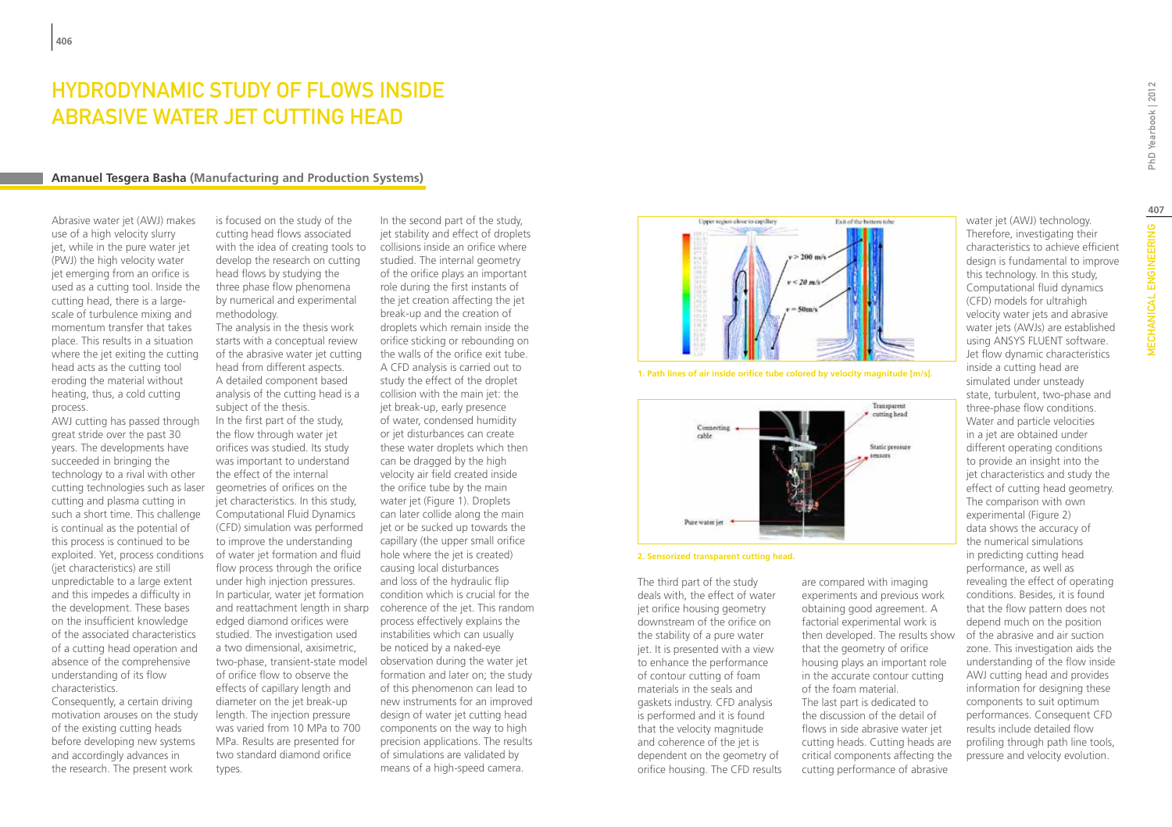# HYDRODYNAMIC STUDY OF FLOWS INSIDE Abrasive water jet cutting head

### **Amanuel Tesgera Basha (Manufacturing and Production Systems)**

Abrasive water jet (AWJ) makes use of a high velocity slurry jet, while in the pure water jet (PWJ) the high velocity water jet emerging from an orifice is used as a cutting tool. Inside the cutting head, there is a largescale of turbulence mixing and momentum transfer that takes place. This results in a situation where the jet exiting the cutting head acts as the cutting tool eroding the material without heating, thus, a cold cutting process.

AWJ cutting has passed through great stride over the past 30 years. The developments have succeeded in bringing the technology to a rival with other cutting technologies such as laser cutting and plasma cutting in such a short time. This challenge is continual as the potential of this process is continued to be exploited. Yet, process conditions (jet characteristics) are still unpredictable to a large extent and this impedes a difficulty in the development. These bases on the insufficient knowledge of the associated characteristics of a cutting head operation and absence of the comprehensive understanding of its flow characteristics.

Consequently, a certain driving motivation arouses on the study of the existing cutting heads before developing new systems and accordingly advances in the research. The present work

is focused on the study of the cutting head flows associated with the idea of creating tools to develop the research on cutting head flows by studying the three phase flow phenomena by numerical and experimental methodology.

The analysis in the thesis work starts with a conceptual review of the abrasive water jet cutting head from different aspects. A detailed component based analysis of the cutting head is a subject of the thesis. In the first part of the study, the flow through water jet orifices was studied. Its study was important to understand the effect of the internal geometries of orifices on the jet characteristics. In this study, Computational Fluid Dynamics (CFD) simulation was performed to improve the understanding of water jet formation and fluid flow process through the orifice under high injection pressures. In particular, water jet formation edged diamond orifices were studied. The investigation used a two dimensional, axisimetric, two-phase, transient-state model of orifice flow to observe the effects of capillary length and diameter on the jet break-up length. The injection pressure was varied from 10 MPa to 700 MPa. Results are presented for two standard diamond orifice types.

and reattachment length in sharp coherence of the jet. This random In the second part of the study, jet stability and effect of droplets collisions inside an orifice where studied. The internal geometry of the orifice plays an important role during the first instants of the jet creation affecting the jet break-up and the creation of droplets which remain inside the orifice sticking or rebounding on the walls of the orifice exit tube. A CFD analysis is carried out to study the effect of the droplet collision with the main jet: the jet break-up, early presence of water, condensed humidity or jet disturbances can create these water droplets which then can be dragged by the high velocity air field created inside the orifice tube by the main water jet (Figure 1). Droplets can later collide along the main jet or be sucked up towards the capillary (the upper small orifice hole where the jet is created) causing local disturbances and loss of the hydraulic flip condition which is crucial for the process effectively explains the instabilities which can usually be noticed by a naked-eye observation during the water jet formation and later on; the study of this phenomenon can lead to new instruments for an improved design of water jet cutting head components on the way to high precision applications. The results of simulations are validated by means of a high-speed camera.



**1. Path lines of air inside orifice tube colored by velocity magnitude [m/s].**



**2. Sensorized transparent cutting head.**

The third part of the study deals with, the effect of water jet orifice housing geometry downstream of the orifice on the stability of a pure water jet. It is presented with a view to enhance the performance of contour cutting of foam materials in the seals and gaskets industry. CFD analysis is performed and it is found that the velocity magnitude and coherence of the jet is dependent on the geometry of orifice housing. The CFD results are compared with imaging experiments and previous work obtaining good agreement. A factorial experimental work is then developed. The results show that the geometry of orifice housing plays an important role in the accurate contour cutting of the foam material. The last part is dedicated to the discussion of the detail of flows in side abrasive water jet cutting heads. Cutting heads are critical components affecting the cutting performance of abrasive

MECHANICAL ENGINEERING PhD Yearbook | 2012 **407MECHANICAL ENGINEERING** 

PhD Yearbook | 2012

design is fundamental to improve this technology. In this study, Computational fluid dynamics (CFD) models for ultrahigh velocity water jets and abrasive water jets (AWJs) are established using ANSYS FLUENT software. Jet flow dynamic characteristics inside a cutting head are simulated under unsteady state, turbulent, two-phase and three-phase flow conditions. Water and particle velocities in a jet are obtained under different operating conditions to provide an insight into the jet characteristics and study the effect of cutting head geometry. The comparison with own experimental (Figure 2) data shows the accuracy of the numerical simulations in predicting cutting head performance, as well as revealing the effect of operating conditions. Besides, it is found that the flow pattern does not depend much on the position of the abrasive and air suction zone. This investigation aids the understanding of the flow inside AWJ cutting head and provides information for designing these components to suit optimum performances. Consequent CFD results include detailed flow profiling through path line tools, pressure and velocity evolution.

water jet (AWJ) technology. Therefore, investigating their characteristics to achieve efficient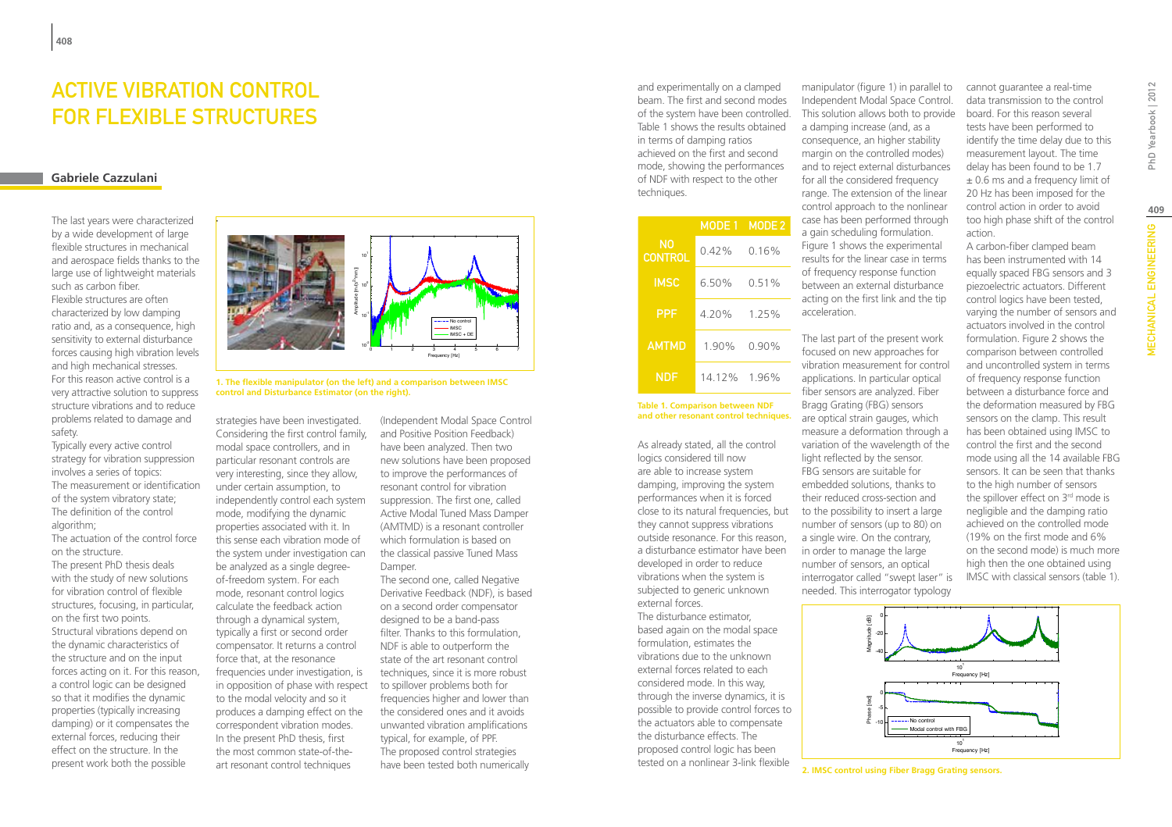# Active Vibration Control for Flexible Structures

### **Gabriele Cazzulani**

The last years were characterized by a wide development of large flexible structures in mechanical and aerospace fields thanks to the large use of lightweight materials such as carbon fiber. Flexible structures are often characterized by low damping ratio and, as a consequence, high sensitivity to external disturbance forces causing high vibration levels and high mechanical stresses. For this reason active control is a very attractive solution to suppress structure vibrations and to reduce problems related to damage and safety.

Typically every active control strategy for vibration suppression involves a series of topics: The measurement or identification of the system vibratory state; The definition of the control algorithm;

The actuation of the control force on the structure.

The present PhD thesis deals with the study of new solutions for vibration control of flexible structures, focusing, in particular, on the first two points. Structural vibrations depend on the dynamic characteristics of the structure and on the input forces acting on it. For this reason, a control logic can be designed so that it modifies the dynamic properties (typically increasing damping) or it compensates the external forces, reducing their effect on the structure. In the present work both the possible



**1. The flexible manipulator (on the left) and a comparison between IMSC control and Disturbance Estimator (on the right).**

strategies have been investigated. Considering the first control family, modal space controllers, and in particular resonant controls are very interesting, since they allow, under certain assumption, to independently control each system mode, modifying the dynamic properties associated with it. In this sense each vibration mode of the system under investigation can be analyzed as a single degreeof-freedom system. For each mode, resonant control logics calculate the feedback action through a dynamical system, typically a first or second order compensator. It returns a control force that, at the resonance frequencies under investigation, is in opposition of phase with respect to the modal velocity and so it produces a damping effect on the correspondent vibration modes. In the present PhD thesis, first the most common state-of-theart resonant control techniques

(Independent Modal Space Control and Positive Position Feedback) have been analyzed. Then two new solutions have been proposed to improve the performances of resonant control for vibration suppression. The first one, called Active Modal Tuned Mass Damper (AMTMD) is a resonant controller which formulation is based on the classical passive Tuned Mass Damper.

The second one, called Negative Derivative Feedback (NDF), is based on a second order compensator designed to be a band-pass filter. Thanks to this formulation, NDF is able to outperform the state of the art resonant control techniques, since it is more robust to spillover problems both for frequencies higher and lower than the considered ones and it avoids unwanted vibration amplifications typical, for example, of PPF. The proposed control strategies have been tested both numerically

and experimentally on a clamped beam. The first and second modes of the system have been controlled. Table 1 shows the results obtained in terms of damping ratios achieved on the first and second mode, showing the performances of NDF with respect to the other techniques.

|               | MODE 1   | MODE <sub>2</sub> |
|---------------|----------|-------------------|
| N0<br>CONTROL | $0.42\%$ | 0.16%             |
| <b>IMSC</b>   | 650%     | 0.51%             |
| <b>PPF</b>    | 4 20%    | 1 25%             |
| <b>AMTMD</b>  | 190%     | 0.90%             |
| NDF           | 14 1 2 % | 196%              |

#### **Table 1. Comparison between NDF and other resonant control techniques.**

As already stated, all the control logics considered till now are able to increase system damping, improving the system performances when it is forced close to its natural frequencies, but they cannot suppress vibrations outside resonance. For this reason, a disturbance estimator have been developed in order to reduce vibrations when the system is subjected to generic unknown external forces.

The disturbance estimator, based again on the modal space formulation, estimates the vibrations due to the unknown external forces related to each considered mode. In this way, through the inverse dynamics, it is possible to provide control forces to the actuators able to compensate the disturbance effects. The proposed control logic has been tested on a nonlinear 3-link flexible

Independent Modal Space Control. This solution allows both to provide a damping increase (and, as a consequence, an higher stability margin on the controlled modes) and to reject external disturbances for all the considered frequency range. The extension of the linear control approach to the nonlinear case has been performed through a gain scheduling formulation. Figure 1 shows the experimental results for the linear case in terms of frequency response function between an external disturbance acting on the first link and the tip acceleration.

The last part of the present work focused on new approaches for vibration measurement for control applications. In particular optical fiber sensors are analyzed. Fiber Bragg Grating (FBG) sensors are optical strain gauges, which measure a deformation through a variation of the wavelength of the light reflected by the sensor. FBG sensors are suitable for embedded solutions, thanks to their reduced cross-section and to the possibility to insert a large number of sensors (up to 80) on a single wire. On the contrary, in order to manage the large number of sensors, an optical interrogator called "swept laser" is needed. This interrogator typology

manipulator (figure 1) in parallel to cannot guarantee a real-time data transmission to the control board. For this reason several tests have been performed to identify the time delay due to this measurement layout. The time delay has been found to be 1.7  $\pm$  0.6 ms and a frequency limit of 20 Hz has been imposed for the control action in order to avoid too high phase shift of the control action. A carbon-fiber clamped beam has been instrumented with 14 equally spaced FBG sensors and 3 piezoelectric actuators. Different

control logics have been tested, varying the number of sensors and actuators involved in the control formulation. Figure 2 shows the comparison between controlled and uncontrolled system in terms of frequency response function between a disturbance force and the deformation measured by FBG sensors on the clamp. This result has been obtained using IMSC to control the first and the second mode using all the 14 available FBG sensors. It can be seen that thanks to the high number of sensors the spillover effect on 3<sup>rd</sup> mode is negligible and the damping ratio achieved on the controlled mode (19% on the first mode and 6% on the second mode) is much more high then the one obtained using IMSC with classical sensors (table 1).



**2. IMSC control using Fiber Bragg Grating sensors.**

**409**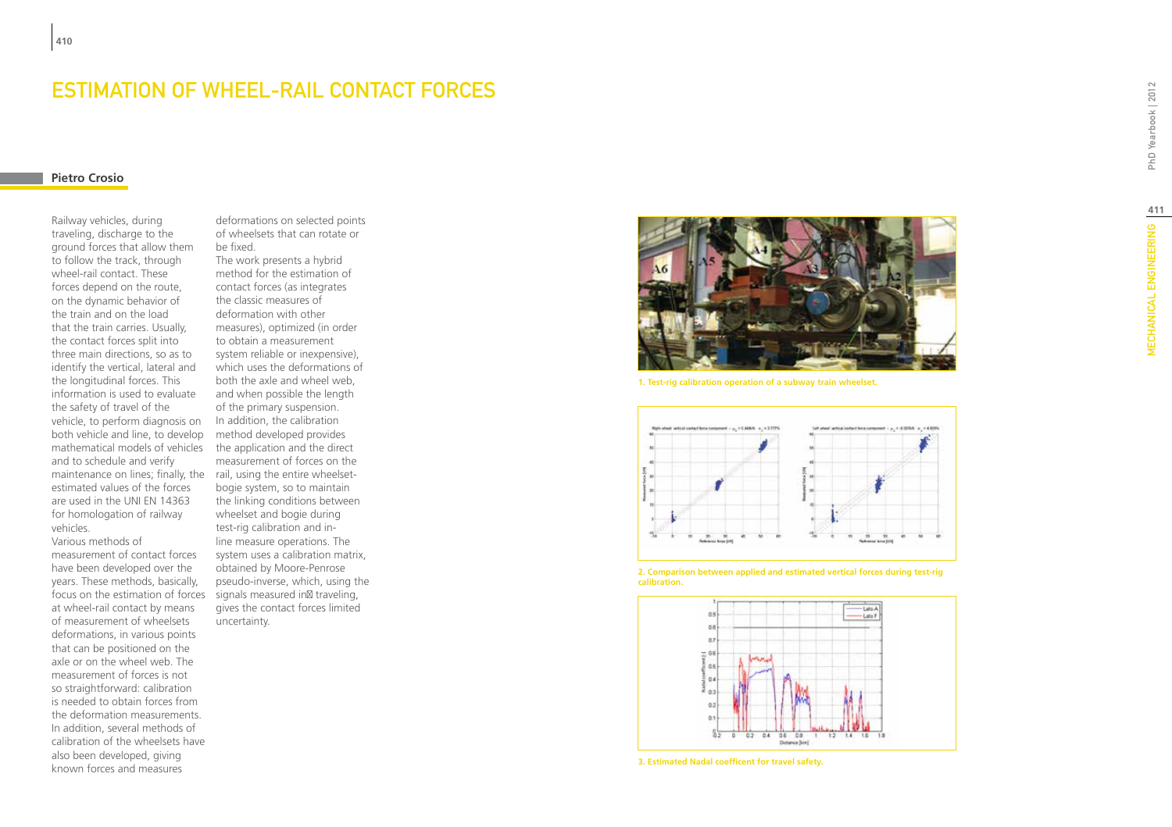### Estimation of wheel-rail contact forces

deformations on selected points

### **Pietro Crosio**

Railway vehicles, during traveling, discharge to the ground forces that allow them to follow the track, through wheel-rail contact. These forces depend on the route, on the dynamic behavior of the train and on the load that the train carries. Usually, the contact forces split into three main directions, so as to identify the vertical, lateral and the longitudinal forces. This information is used to evaluate the safety of travel of the vehicle, to perform diagnosis on both vehicle and line, to develop mathematical models of vehicles the application and the direct and to schedule and verify maintenance on lines; finally, the rail, using the entire wheelsetestimated values of the forces are used in the UNI EN 14363 for homologation of railway vehicles.

Various methods of measurement of contact forces have been developed over the years. These methods, basically, focus on the estimation of forces signals measured in traveling, at wheel-rail contact by means of measurement of wheelsets deformations, in various points that can be positioned on the axle or on the wheel web. The measurement of forces is not so straightforward: calibration is needed to obtain forces from the deformation measurements. In addition, several methods of calibration of the wheelsets have also been developed, giving known forces and measures

of wheelsets that can rotate or be fixed. The work presents a hybrid method for the estimation of contact forces (as integrates the classic measures of deformation with other measures), optimized (in order to obtain a measurement system reliable or inexpensive), which uses the deformations of both the axle and wheel web, and when possible the length of the primary suspension. In addition, the calibration method developed provides measurement of forces on the bogie system, so to maintain the linking conditions between wheelset and bogie during test-rig calibration and inline measure operations. The system uses a calibration matrix, obtained by Moore-Penrose pseudo-inverse, which, using the gives the contact forces limited uncertainty.



**1. Test-rig calibration operation of a subway train wheelset.**



**2. Comparison between applied and estimated vertical forces during test-rig calibration.**



**3. Estimated Nadal coefficent for travel safety.**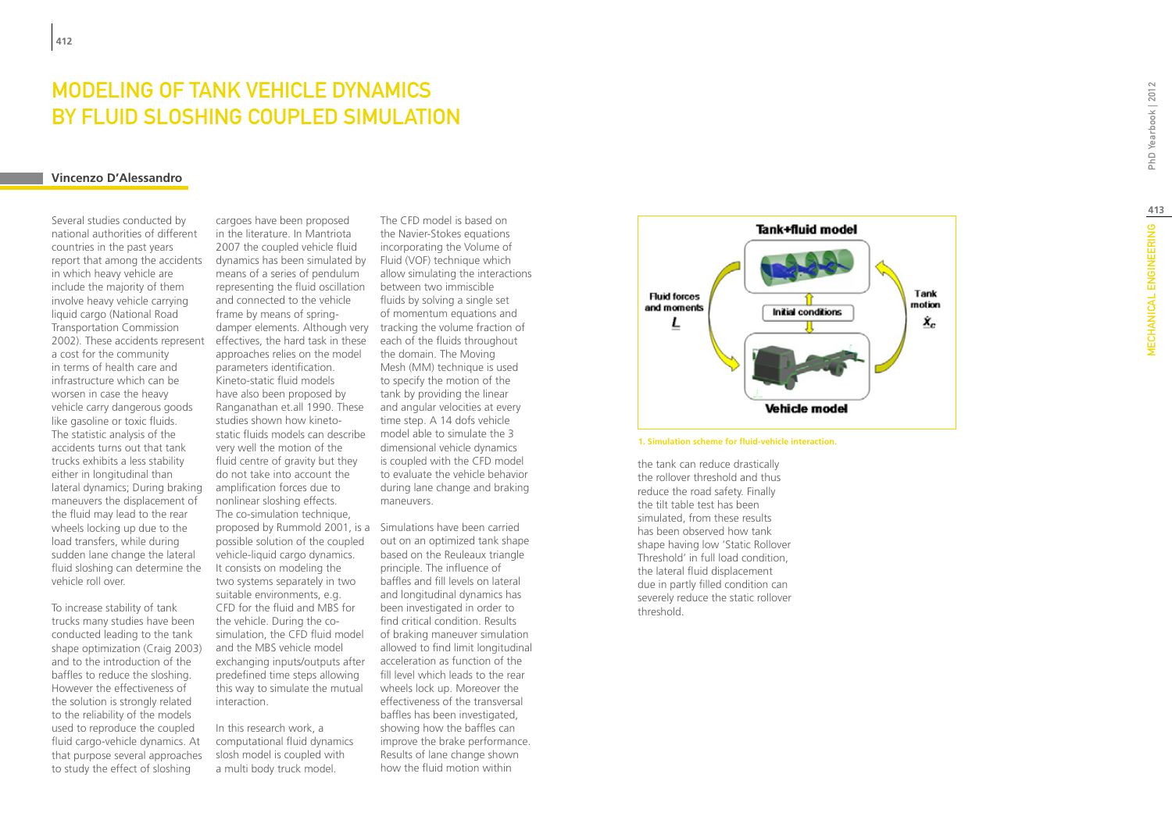# MODELING OF TANK VEHICLE DYNAMICS BY FLUID SLOSHING COUPLED SIMU

### **Vincenzo D'Alessandro**

Several studies conducted by national authorities of different countries in the past years report that among the accidents in which heavy vehicle are include the majority of them involve heavy vehicle carrying liquid cargo (National Road Transportation Commission 2002). These accidents represent a cost for the community in terms of health care and infrastructure which can be worsen in case the heavy vehicle carry dangerous goods like gasoline or toxic fluids. The statistic analysis of the accidents turns out that tank trucks exhibits a less stability either in longitudinal than lateral dynamics; During braking maneuvers the displacement of the fluid may lead to the rear wheels locking up due to the load transfers, while during sudden lane change the lateral fluid sloshing can determine the vehicle roll over.

To increase stability of tank trucks many studies have been conducted leading to the tank shape optimization (Craig 2003) and to the introduction of the baffles to reduce the sloshing. However the effectiveness of the solution is strongly related to the reliability of the models used to reproduce the coupled fluid cargo-vehicle dynamics. At that purpose several approaches to study the effect of sloshing

cargoes have been proposed in the literature. In Mantriota 2007 the coupled vehicle fluid dynamics has been simulated by means of a series of pendulum representing the fluid oscillation and connected to the vehicle frame by means of springdamper elements. Although very tracking the volume fraction of effectives, the hard task in these approaches relies on the model parameters identification. Kineto-static fluid models have also been proposed by Ranganathan et.all 1990. These studies shown how kinetostatic fluids models can describe very well the motion of the fluid centre of gravity but they do not take into account the amplification forces due to nonlinear sloshing effects. The co-simulation technique, proposed by Rummold 2001, is a Simulations have been carried possible solution of the coupled vehicle-liquid cargo dynamics. It consists on modeling the two systems separately in two suitable environments, e.g. CFD for the fluid and MBS for the vehicle. During the cosimulation, the CFD fluid model and the MBS vehicle model exchanging inputs/outputs after predefined time steps allowing this way to simulate the mutual interaction.

In this research work, a computational fluid dynamics slosh model is coupled with a multi body truck model.

The CFD model is based on the Navier-Stokes equations incorporating the Volume of Fluid (VOF) technique which allow simulating the interactions between two immiscible fluids by solving a single set of momentum equations and each of the fluids throughout the domain. The Moving Mesh (MM) technique is used to specify the motion of the tank by providing the linear and angular velocities at every time step. A 14 dofs vehicle model able to simulate the 3 dimensional vehicle dynamics is coupled with the CFD model to evaluate the vehicle behavior during lane change and braking maneuvers.

out on an optimized tank shape based on the Reuleaux triangle principle. The influence of baffles and fill levels on lateral and longitudinal dynamics has been investigated in order to find critical condition. Results of braking maneuver simulation allowed to find limit longitudinal acceleration as function of the fill level which leads to the rear wheels lock up. Moreover the effectiveness of the transversal baffles has been investigated, showing how the baffles can improve the brake performance. Results of lane change shown how the fluid motion within



### **1. Simulation scheme for fluid-vehicle interaction.**

the tank can reduce drastically the rollover threshold and thus reduce the road safety. Finally the tilt table test has been simulated, from these results has been observed how tank shape having low 'Static Rollover Threshold' in full load condition, the lateral fluid displacement due in partly filled condition can severely reduce the static rollover threshold.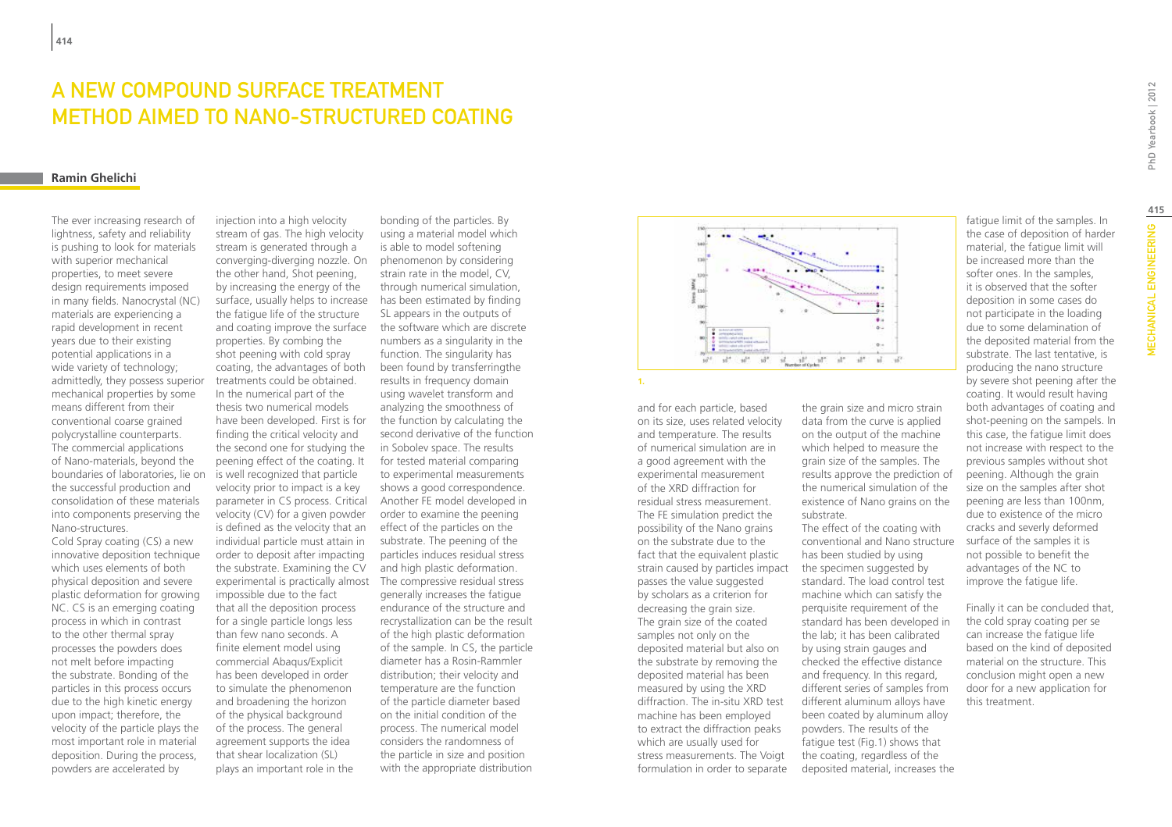# A new compound surface treatment method aimed to Nano-structured coating

### **Ramin Ghelichi**

The ever increasing research of lightness, safety and reliability is pushing to look for materials with superior mechanical properties, to meet severe design requirements imposed in many fields. Nanocrystal (NC) materials are experiencing a rapid development in recent years due to their existing potential applications in a wide variety of technology; admittedly, they possess superior mechanical properties by some means different from their conventional coarse grained polycrystalline counterparts. The commercial applications of Nano-materials, beyond the boundaries of laboratories, lie on the successful production and consolidation of these materials into components preserving the Nano-structures.

Cold Spray coating (CS) a new innovative deposition technique which uses elements of both physical deposition and severe plastic deformation for growing NC. CS is an emerging coating process in which in contrast to the other thermal spray processes the powders does not melt before impacting the substrate. Bonding of the particles in this process occurs due to the high kinetic energy upon impact; therefore, the velocity of the particle plays the most important role in material deposition. During the process, powders are accelerated by

injection into a high velocity stream of gas. The high velocity stream is generated through a converging-diverging nozzle. On the other hand, Shot peening, by increasing the energy of the surface, usually helps to increase the fatigue life of the structure and coating improve the surface properties. By combing the shot peening with cold spray coating, the advantages of both treatments could be obtained. In the numerical part of the thesis two numerical models have been developed. First is for finding the critical velocity and the second one for studying the peening effect of the coating. It is well recognized that particle velocity prior to impact is a key parameter in CS process. Critical velocity (CV) for a given powder is defined as the velocity that an individual particle must attain in order to deposit after impacting the substrate. Examining the CV impossible due to the fact that all the deposition process for a single particle longs less than few nano seconds. A finite element model using commercial Abaqus/Explicit has been developed in order to simulate the phenomenon and broadening the horizon of the physical background of the process. The general agreement supports the idea that shear localization (SL) plays an important role in the

experimental is practically almost The compressive residual stress bonding of the particles. By using a material model which is able to model softening phenomenon by considering strain rate in the model, CV, through numerical simulation, has been estimated by finding SL appears in the outputs of the software which are discrete numbers as a singularity in the function. The singularity has been found by transferringthe results in frequency domain using wavelet transform and analyzing the smoothness of the function by calculating the second derivative of the function in Sobolev space. The results for tested material comparing to experimental measurements shows a good correspondence. Another FE model developed in order to examine the peening effect of the particles on the substrate. The peening of the particles induces residual stress and high plastic deformation. generally increases the fatigue endurance of the structure and recrystallization can be the result of the high plastic deformation of the sample. In CS, the particle diameter has a Rosin-Rammler distribution; their velocity and temperature are the function of the particle diameter based on the initial condition of the process. The numerical model considers the randomness of the particle in size and position with the appropriate distribution



**1.**

and for each particle, based on its size, uses related velocity and temperature. The results of numerical simulation are in a good agreement with the experimental measurement of the XRD diffraction for residual stress measurement. The FE simulation predict the possibility of the Nano grains on the substrate due to the fact that the equivalent plastic strain caused by particles impact passes the value suggested by scholars as a criterion for decreasing the grain size. The grain size of the coated samples not only on the deposited material but also on the substrate by removing the deposited material has been measured by using the XRD diffraction. The in-situ XRD test machine has been employed to extract the diffraction peaks which are usually used for stress measurements. The Voigt formulation in order to separate

the grain size and micro strain data from the curve is applied on the output of the machine which helped to measure the grain size of the samples. The results approve the prediction of the numerical simulation of the existence of Nano grains on the substrate.

The effect of the coating with conventional and Nano structure has been studied by using the specimen suggested by standard. The load control test machine which can satisfy the perquisite requirement of the standard has been developed in the lab; it has been calibrated by using strain gauges and checked the effective distance and frequency. In this regard, different series of samples from different aluminum alloys have been coated by aluminum alloy powders. The results of the fatigue test (Fig.1) shows that the coating, regardless of the deposited material, increases the

fatigue limit of the samples. In the case of deposition of harder material, the fatigue limit will be increased more than the softer ones. In the samples, it is observed that the softer deposition in some cases do not participate in the loading due to some delamination of the deposited material from the substrate. The last tentative, is producing the nano structure by severe shot peening after the coating. It would result having both advantages of coating and shot-peening on the sampels. In this case, the fatigue limit does not increase with respect to the previous samples without shot peening. Although the grain size on the samples after shot peening are less than 100nm, due to existence of the micro cracks and severly deformed surface of the samples it is

not possible to benefit the advantages of the NC to improve the fatigue life.

Finally it can be concluded that, the cold spray coating per se can increase the fatigue life based on the kind of deposited material on the structure. This conclusion might open a new door for a new application for this treatment.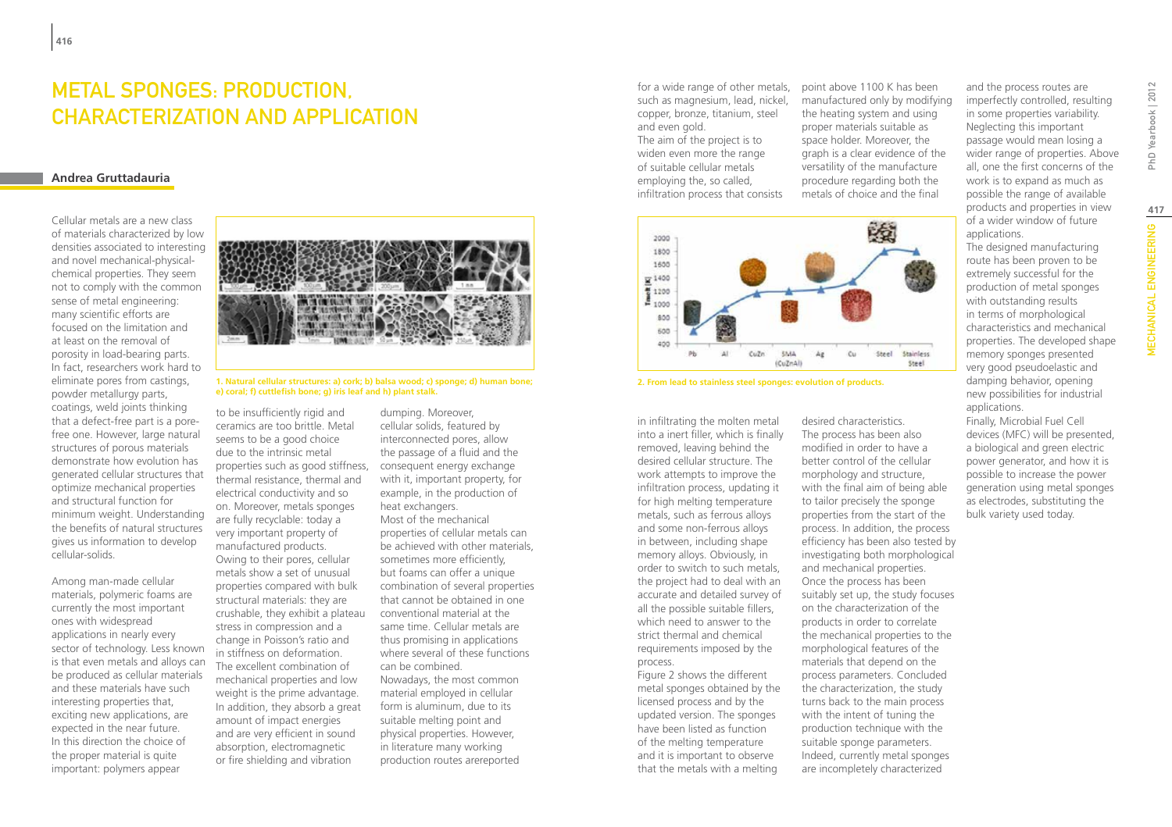## Metal Sponges: Production, Characterization and Application

### **Andrea Gruttadauria**

Cellular metals are a new class of materials characterized by low densities associated to interesting and novel mechanical-physicalchemical properties. They seem not to comply with the common sense of metal engineering: many scientific efforts are focused on the limitation and at least on the removal of porosity in load-bearing parts. In fact, researchers work hard to eliminate pores from castings, powder metallurgy parts, coatings, weld joints thinking that a defect-free part is a porefree one. However, large natural structures of porous materials demonstrate how evolution has generated cellular structures that optimize mechanical properties and structural function for minimum weight. Understanding the benefits of natural structures gives us information to develop cellular-solids.

Among man-made cellular materials, polymeric foams are currently the most important ones with widespread applications in nearly every sector of technology. Less known is that even metals and alloys can be produced as cellular materials and these materials have such interesting properties that, exciting new applications, are expected in the near future. In this direction the choice of the proper material is quite important: polymers appear



**1. Natural cellular structures: a) cork; b) balsa wood; c) sponge; d) human bone; e) coral; f) cuttlefish bone; g) iris leaf and h) plant stalk.**

to be insufficiently rigid and ceramics are too brittle. Metal seems to be a good choice due to the intrinsic metal properties such as good stiffness, thermal resistance, thermal and electrical conductivity and so on. Moreover, metals sponges are fully recyclable: today a very important property of manufactured products. Owing to their pores, cellular metals show a set of unusual properties compared with bulk structural materials: they are crushable, they exhibit a plateau stress in compression and a change in Poisson's ratio and in stiffness on deformation. The excellent combination of mechanical properties and low weight is the prime advantage. In addition, they absorb a great amount of impact energies and are very efficient in sound absorption, electromagnetic or fire shielding and vibration

dumping. Moreover, cellular solids, featured by interconnected pores, allow the passage of a fluid and the consequent energy exchange with it, important property, for example, in the production of heat exchangers. Most of the mechanical properties of cellular metals can be achieved with other materials, sometimes more efficiently, but foams can offer a unique combination of several properties that cannot be obtained in one conventional material at the same time. Cellular metals are thus promising in applications where several of these functions can be combined. Nowadays, the most common material employed in cellular form is aluminum, due to its suitable melting point and physical properties. However, in literature many working production routes arereported

for a wide range of other metals, such as magnesium, lead, nickel, copper, bronze, titanium, steel and even gold. The aim of the project is to widen even more the range

of suitable cellular metals employing the, so called, infiltration process that consists



**2. From lead to stainless steel sponges: evolution of products.**

in infiltrating the molten metal into a inert filler, which is finally removed, leaving behind the desired cellular structure. The work attempts to improve the infiltration process, updating it for high melting temperature metals, such as ferrous alloys and some non-ferrous alloys in between, including shape memory alloys. Obviously, in order to switch to such metals, the project had to deal with an accurate and detailed survey of all the possible suitable fillers, which need to answer to the strict thermal and chemical requirements imposed by the process.

Figure 2 shows the different metal sponges obtained by the licensed process and by the updated version. The sponges have been listed as function of the melting temperature and it is important to observe that the metals with a melting

point above 1100 K has been manufactured only by modifying the heating system and using proper materials suitable as space holder. Moreover, the graph is a clear evidence of the versatility of the manufacture procedure regarding both the metals of choice and the final

desired characteristics. The process has been also modified in order to have a better control of the cellular morphology and structure, with the final aim of being able to tailor precisely the sponge properties from the start of the process. In addition, the process efficiency has been also tested by investigating both morphological and mechanical properties. Once the process has been suitably set up, the study focuses on the characterization of the products in order to correlate the mechanical properties to the morphological features of the materials that depend on the process parameters. Concluded the characterization, the study turns back to the main process with the intent of tuning the production technique with the suitable sponge parameters. Indeed, currently metal sponges are incompletely characterized

and the process routes are imperfectly controlled, resulting in some properties variability. Neglecting this important passage would mean losing a wider range of properties. Above all, one the first concerns of the work is to expand as much as possible the range of available products and properties in view of a wider window of future applications.

The designed manufacturing route has been proven to be extremely successful for the production of metal sponges with outstanding results in terms of morphological characteristics and mechanical properties. The developed shape memory sponges presented very good pseudoelastic and damping behavior, opening new possibilities for industrial applications.

Finally, Microbial Fuel Cell devices (MFC) will be presented, a biological and green electric power generator, and how it is possible to increase the power generation using metal sponges as electrodes, substituting the bulk variety used today.

**417**MECHANICAL ENGINEERING PhD Yearbook | 2012

*MECHANICAL ENGINEERING* 

PhD Yearbook | 2012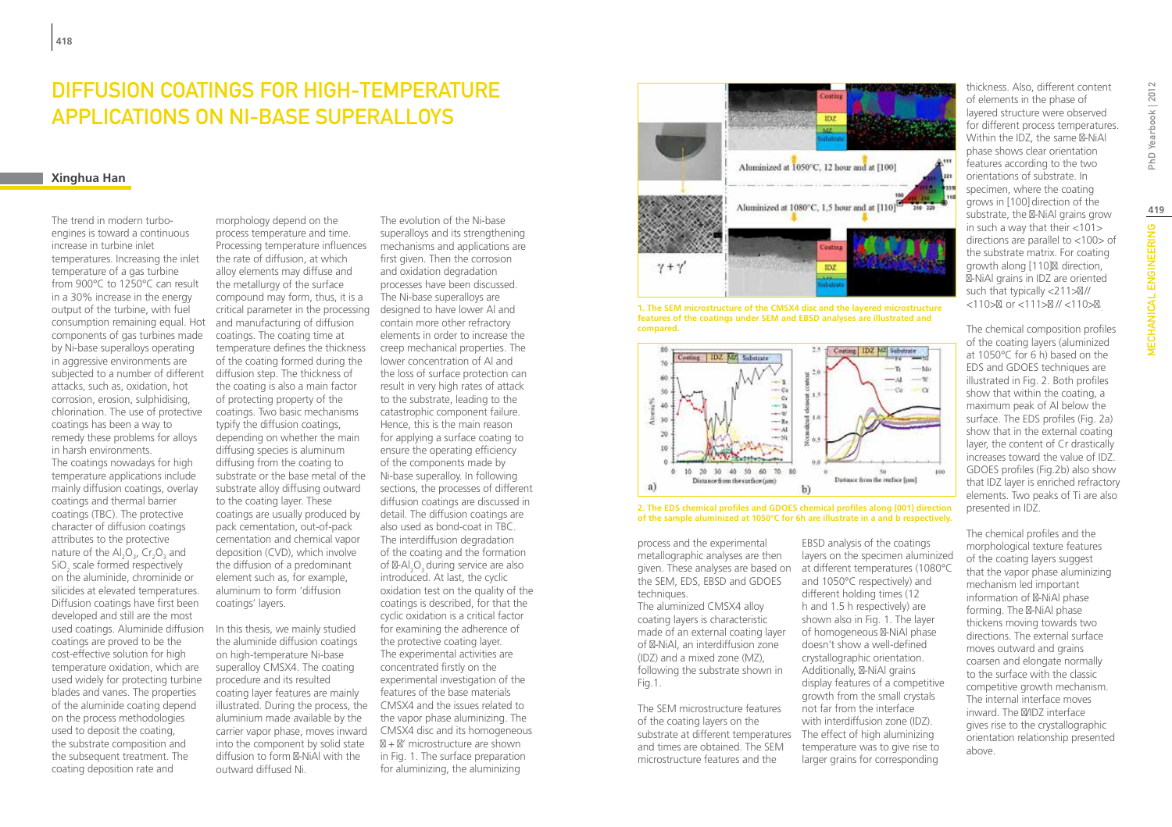### Diffusion Coatings for High-Temperature Applications on Ni-base Superalloys

### **Xinghua Han**

The trend in modern turboengines is toward a continuous increase in turbine inlet temperatures. Increasing the inlet temperature of a gas turbine from 900°C to 1250°C can result in a 30% increase in the energy output of the turbine, with fuel consumption remaining equal. Hot components of gas turbines made by Ni-base superalloys operating in aggressive environments are subjected to a number of different attacks, such as, oxidation, hot corrosion, erosion, sulphidising, chlorination. The use of protective coatings has been a way to remedy these problems for alloys in harsh environments. The coatings nowadays for high temperature applications include mainly diffusion coatings, overlay coatings and thermal barrier coatings (TBC). The protective character of diffusion coatings attributes to the protective nature of the  $Al_2O_3$ , Cr<sub>2</sub>O<sub>3</sub> and SiO<sub>2</sub> scale formed respectively on the aluminide, chrominide or silicides at elevated temperatures. Diffusion coatings have first been developed and still are the most used coatings. Aluminide diffusion coatings are proved to be the cost-effective solution for high temperature oxidation, which are used widely for protecting turbine blades and vanes. The properties of the aluminide coating depend on the process methodologies used to deposit the coating, the substrate composition and the subsequent treatment. The coating deposition rate and

morphology depend on the process temperature and time. Processing temperature influences the rate of diffusion, at which alloy elements may diffuse and the metallurgy of the surface compound may form, thus, it is a critical parameter in the processing designed to have lower Al and and manufacturing of diffusion coatings. The coating time at temperature defines the thickness creep mechanical properties. The of the coating formed during the diffusion step. The thickness of the coating is also a main factor of protecting property of the coatings. Two basic mechanisms typify the diffusion coatings, depending on whether the main diffusing species is aluminum diffusing from the coating to substrate or the base metal of the substrate alloy diffusing outward to the coating layer. These coatings are usually produced by pack cementation, out-of-pack cementation and chemical vapor deposition (CVD), which involve the diffusion of a predominant element such as, for example, aluminum to form 'diffusion coatings' layers.

In this thesis, we mainly studied the aluminide diffusion coatings on high-temperature Ni-base superalloy CMSX4. The coating procedure and its resulted coating layer features are mainly illustrated. During the process, the aluminium made available by the into the component by solid state diffusion to form -NiAl with the outward diffused Ni.

carrier vapor phase, moves inward CMSX4 disc and its homogeneous The evolution of the Ni-base superalloys and its strengthening mechanisms and applications are first given. Then the corrosion and oxidation degradation processes have been discussed. The Ni-base superalloys are contain more other refractory elements in order to increase the lower concentration of Al and the loss of surface protection can result in very high rates of attack to the substrate, leading to the catastrophic component failure. Hence, this is the main reason for applying a surface coating to ensure the operating efficiency of the components made by Ni-base superalloy. In following sections, the processes of different diffusion coatings are discussed in detail. The diffusion coatings are also used as bond-coat in TBC. The interdiffusion degradation of the coating and the formation of  $-AI_2O_3$  during service are also introduced. At last, the cyclic oxidation test on the quality of the coatings is described, for that the cyclic oxidation is a critical factor for examining the adherence of the protective coating layer. The experimental activities are concentrated firstly on the experimental investigation of the features of the base materials CMSX4 and the issues related to the vapor phase aluminizing. The

 + ' microstructure are shown in Fig. 1. The surface preparation for aluminizing, the aluminizing



**1. The SEM microstructure of the CMSX4 disc and the layered microstructure features of the coatings under SEM and EBSD analyses are illustrated and compared.** 



**2. The EDS chemical profiles and GDOES chemical profiles along [001] direction of the sample aluminized at 1050°C for 6h are illustrate in a and b respectively.**

> EBSD analysis of the coatings layers on the specimen aluminized

and 1050°C respectively) and different holding times (12 h and 1.5 h respectively) are shown also in Fig. 1. The layer of homogeneous -NiAl phase doesn't show a well-defined crystallographic orientation. Additionally, -NiAl grains display features of a competitive growth from the small crystals not far from the interface with interdiffusion zone (IDZ).

temperature was to give rise to larger grains for corresponding

process and the experimental metallographic analyses are then given. These analyses are based on at different temperatures (1080°C the SEM, EDS, EBSD and GDOES techniques.

The aluminized CMSX4 alloy coating layers is characteristic made of an external coating layer of -NiAl, an interdiffusion zone (IDZ) and a mixed zone (MZ), following the substrate shown in Fig.1.

The SEM microstructure features of the coating layers on the substrate at different temperatures The effect of high aluminizing and times are obtained. The SEM microstructure features and the

thickness. Also, different content of elements in the phase of layered structure were observed for different process temperatures. Within the IDZ, the same -NiAl phase shows clear orientation features according to the two orientations of substrate. In specimen, where the coating grows in [100] direction of the substrate, the -NiAl grains grow in such a way that their  $\langle 101 \rangle$ directions are parallel to <100> of the substrate matrix. For coating growth along [110], direction, -NiAl grains in IDZ are oriented such that typically <211> // <110> ' or <111> // <110> '.

The chemical composition profiles of the coating layers (aluminized at 1050°C for 6 h) based on the EDS and GDOES techniques are illustrated in Fig. 2. Both profiles show that within the coating, a maximum peak of Al below the surface. The EDS profiles (Fig. 2a) show that in the external coating layer, the content of Cr drastically increases toward the value of IDZ. GDOES profiles (Fig.2b) also show that IDZ layer is enriched refractory elements. Two peaks of Ti are also presented in IDZ.

The chemical profiles and the morphological texture features of the coating layers suggest that the vapor phase aluminizing mechanism led important information of -NiAl phase forming. The -NiAl phase thickens moving towards two directions. The external surface moves outward and grains coarsen and elongate normally to the surface with the classic competitive growth mechanism. The internal interface moves inward. The /IDZ interface gives rise to the crystallographic orientation relationship presented above.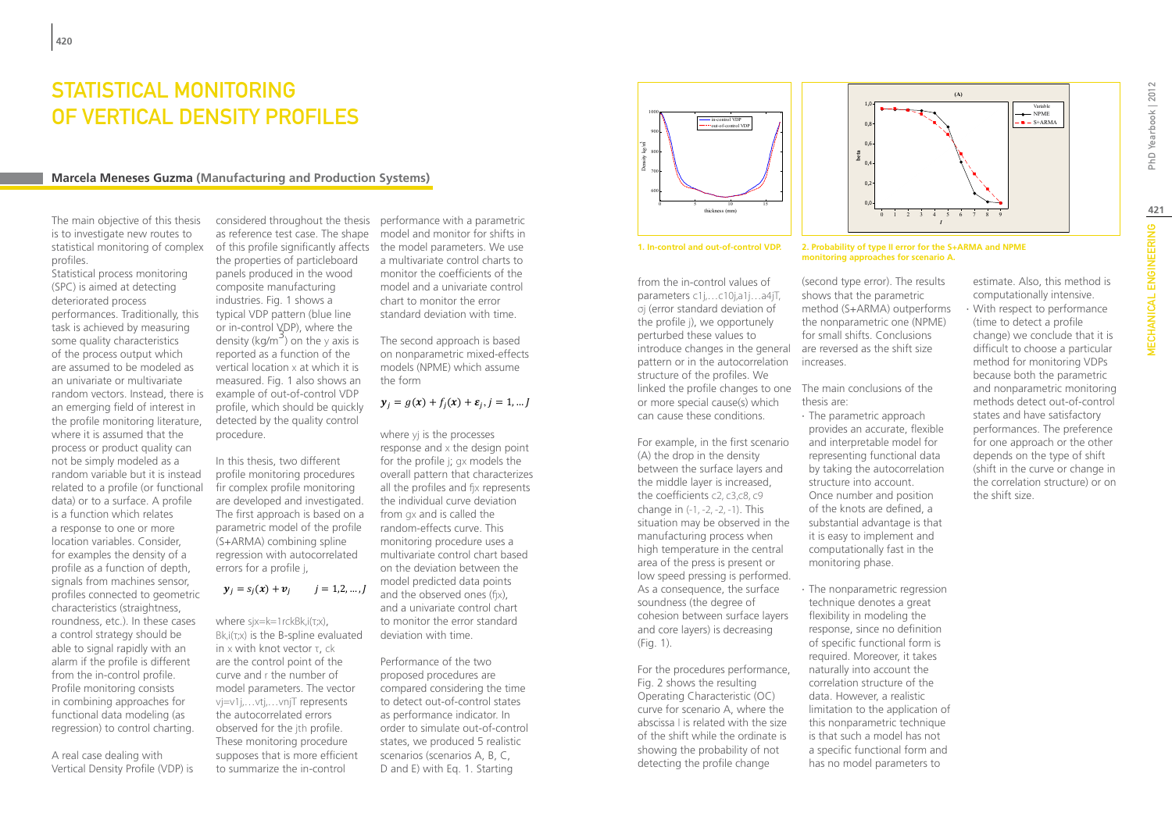### STATISTICAL MONITORING OF VERTICAL DENSITY PROFILES

### **Marcela Meneses Guzma (Manufacturing and Production Systems)**

The main objective of this thesis is to investigate new routes to statistical monitoring of complex profiles.

Statistical process monitoring (SPC) is aimed at detecting deteriorated process performances. Traditionally, this task is achieved by measuring some quality characteristics of the process output which are assumed to be modeled as an univariate or multivariate random vectors. Instead, there is an emerging field of interest in the profile monitoring literature, where it is assumed that the process or product quality can not be simply modeled as a random variable but it is instead related to a profile (or functional data) or to a surface. A profile is a function which relates a response to one or more location variables. Consider, for examples the density of a profile as a function of depth, signals from machines sensor, profiles connected to geometric characteristics (straightness, roundness, etc.). In these cases a control strategy should be able to signal rapidly with an alarm if the profile is different from the in-control profile. Profile monitoring consists in combining approaches for functional data modeling (as regression) to control charting.

A real case dealing with Vertical Density Profile (VDP) is

as reference test case. The shape of this profile significantly affects the model parameters. We use the properties of particleboard panels produced in the wood composite manufacturing industries. Fig. 1 shows a typical VDP pattern (blue line or in-control VDP), where the density (kg/m<sup>3</sup>) on the y axis is reported as a function of the vertical location x at which it is measured. Fig. 1 also shows an example of out-of-control VDP profile, which should be quickly detected by the quality control procedure.

In this thesis, two different profile monitoring procedures fir complex profile monitoring are developed and investigated. The first approach is based on a parametric model of the profile (S+ARMA) combining spline regression with autocorrelated errors for a profile j,

### $y_i = s_i(x) + v_i$   $i = 1,2,...,J$

where sjx=k=1rckBk,i(τ;x),  $Bk, i(\tau; x)$  is the B-spline evaluated in x with knot vector τ, ck are the control point of the curve and r the number of model parameters. The vector vj=v1j,…vtj,…vnjT represents the autocorrelated errors observed for the jth profile. These monitoring procedure supposes that is more efficient to summarize the in-control

considered throughout the thesis performance with a parametric model and monitor for shifts in a multivariate control charts to monitor the coefficients of the model and a univariate control chart to monitor the error standard deviation with time.

> The second approach is based on nonparametric mixed-effects models (NPME) which assume the form

### $y_i = g(x) + f_i(x) + \varepsilon_i, j = 1, ...$

where yj is the processes response and x the design point for the profile j; gx models the overall pattern that characterizes all the profiles and fjx represents the individual curve deviation from gx and is called the random-effects curve. This monitoring procedure uses a multivariate control chart based on the deviation between the model predicted data points and the observed ones (fjx), and a univariate control chart to monitor the error standard deviation with time.

Performance of the two proposed procedures are compared considering the time to detect out-of-control states as performance indicator. In order to simulate out-of-control states, we produced 5 realistic scenarios (scenarios A, B, C, D and E) with Eq. 1. Starting





#### **1. In-control and out-of-control VDP. 2. Probability of type II error for the S+ARMA and NPME**

from the in-control values of parameters c1j,…c10j,a1j…a4jT, σj (error standard deviation of the profile j), we opportunely perturbed these values to introduce changes in the general are reversed as the shift size pattern or in the autocorrelation structure of the profiles. We linked the profile changes to one The main conclusions of the or more special cause(s) which can cause these conditions.

For example, in the first scenario (A) the drop in the density between the surface layers and the middle layer is increased, the coefficients c2, c3,c8, c9 change in (-1, -2, -2, -1). This situation may be observed in the manufacturing process when high temperature in the central area of the press is present or low speed pressing is performed. As a consequence, the surface soundness (the degree of cohesion between surface layers and core layers) is decreasing (Fig. 1).

For the procedures performance, Fig. 2 shows the resulting Operating Characteristic (OC) curve for scenario A, where the abscissa l is related with the size of the shift while the ordinate is showing the probability of not detecting the profile change

(second type error). The results shows that the parametric method (S+ARMA) outperforms the nonparametric one (NPME) for small shifts. Conclusions increases.

**monitoring approaches for scenario A.**

# thesis are:

- ∙ The parametric approach provides an accurate, flexible and interpretable model for representing functional data by taking the autocorrelation structure into account. Once number and position of the knots are defined, a substantial advantage is that it is easy to implement and computationally fast in the monitoring phase.
- ∙ The nonparametric regression technique denotes a great flexibility in modeling the response, since no definition of specific functional form is required. Moreover, it takes naturally into account the correlation structure of the data. However, a realistic limitation to the application of this nonparametric technique is that such a model has not a specific functional form and has no model parameters to

estimate. Also, this method is computationally intensive. ∙ With respect to performance (time to detect a profile change) we conclude that it is difficult to choose a particular method for monitoring VDPs because both the parametric and nonparametric monitoring methods detect out-of-control states and have satisfactory performances. The preference for one approach or the other depends on the type of shift (shift in the curve or change in the correlation structure) or on the shift size.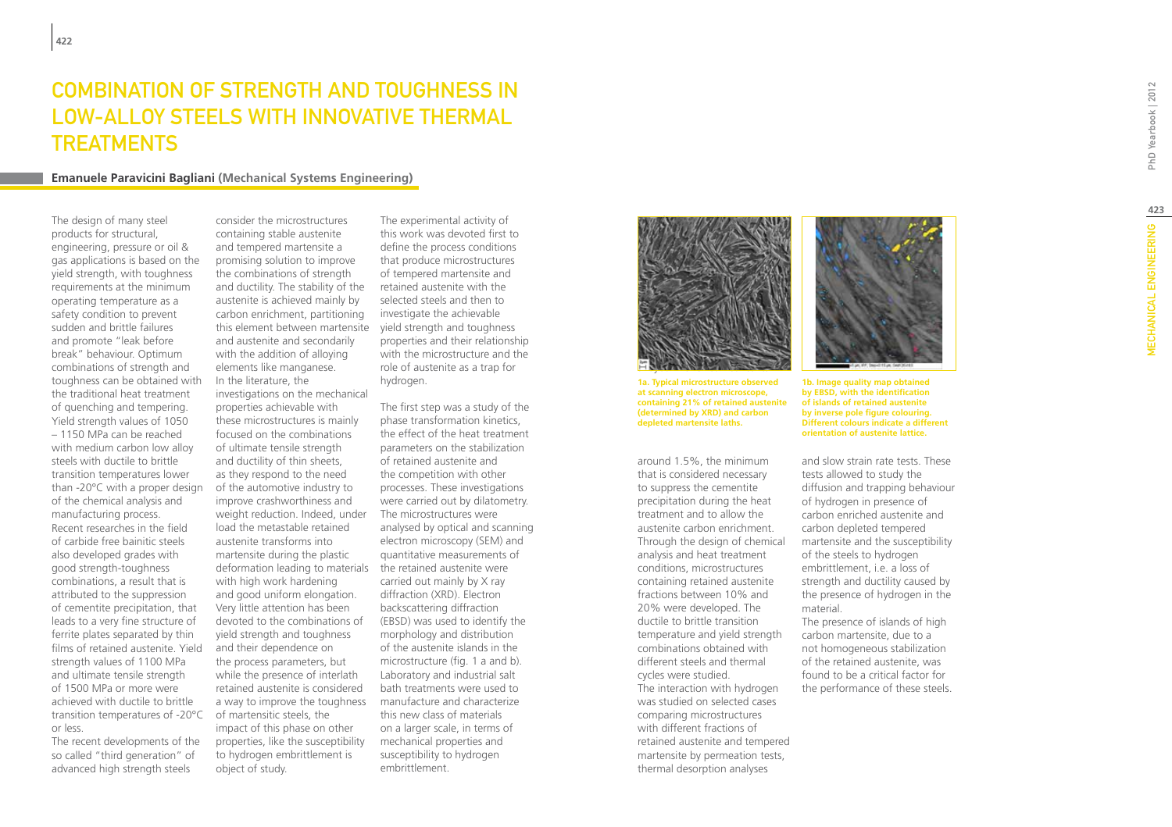### Combination of strength and to ughness in LOW-ALLOY STEELS WITH INNOVATIVE treatment **TREATMENTS**

### **Emanuele Paravicini Bagliani (Mechanical Systems Engineering)**

The design of many steel products for structural, engineering, pressure or oil & gas applications is based on the yield strength, with toughness requirements at the minimum operating temperature as a safety condition to prevent sudden and brittle failures and promote "leak before break" behaviour. Optimum combinations of strength and toughness can be obtained with the traditional heat treatment of quenching and tempering. Yield strength values of 1050 – 1150 MPa can be reached with medium carbon low alloy steels with ductile to brittle transition temperatures lower than -20°C with a proper design of the chemical analysis and manufacturing process. Recent researches in the field of carbide free bainitic steels also developed grades with good strength-toughness combinations, a result that is attributed to the suppression of cementite precipitation, that leads to a very fine structure of ferrite plates separated by thin films of retained austenite. Yield strength values of 1100 MPa and ultimate tensile strength of 1500 MPa or more were achieved with ductile to brittle transition temperatures of -20°C or less.

The recent developments of the so called "third generation" of advanced high strength steels

consider the microstructures containing stable austenite and tempered martensite a promising solution to improve the combinations of strength and ductility. The stability of the austenite is achieved mainly by carbon enrichment, partitioning this element between martensite yield strength and toughness and austenite and secondarily with the addition of alloying elements like manganese. In the literature, the investigations on the mechanical properties achievable with these microstructures is mainly focused on the combinations of ultimate tensile strength and ductility of thin sheets, as they respond to the need of the automotive industry to improve crashworthiness and weight reduction. Indeed, under load the metastable retained austenite transforms into martensite during the plastic deformation leading to materials the retained austenite were with high work hardening and good uniform elongation. Very little attention has been devoted to the combinations of yield strength and toughness and their dependence on the process parameters, but while the presence of interlath retained austenite is considered a way to improve the toughness of martensitic steels, the impact of this phase on other properties, like the susceptibility to hydrogen embrittlement is

object of study.

The experimental activity of this work was devoted first to define the process conditions that produce microstructures of tempered martensite and retained austenite with the selected steels and then to investigate the achievable properties and their relationship with the microstructure and the role of austenite as a trap for hydrogen.

The first step was a study of the phase transformation kinetics, the effect of the heat treatment parameters on the stabilization of retained austenite and the competition with other processes. These investigations were carried out by dilatometry. The microstructures were analysed by optical and scanning electron microscopy (SEM) and quantitative measurements of carried out mainly by X ray diffraction (XRD). Electron backscattering diffraction (EBSD) was used to identify the morphology and distribution of the austenite islands in the microstructure (fig. 1 a and b). Laboratory and industrial salt bath treatments were used to manufacture and characterize this new class of materials on a larger scale, in terms of mechanical properties and susceptibility to hydrogen embrittlement.



**1a. Typical microstructure observed at scanning electron microscope, containing 21% of retained austenite (determined by XRD) and carbon depleted martensite laths.**

around 1.5%, the minimum that is considered necessary to suppress the cementite precipitation during the heat treatment and to allow the austenite carbon enrichment. Through the design of chemical analysis and heat treatment conditions, microstructures containing retained austenite fractions between 10% and 20% were developed. The ductile to brittle transition temperature and yield strength combinations obtained with different steels and thermal cycles were studied. The interaction with hydrogen was studied on selected cases comparing microstructures with different fractions of retained austenite and tempered martensite by permeation tests, thermal desorption analyses



**1b. Image quality map obtained by EBSD, with the identification of islands of retained austenite by inverse pole figure colouring. Different colours indicate a different orientation of austenite lattice.**

and slow strain rate tests. These tests allowed to study the diffusion and trapping behaviour of hydrogen in presence of carbon enriched austenite and carbon depleted tempered martensite and the susceptibility of the steels to hydrogen embrittlement, i.e. a loss of strength and ductility caused by the presence of hydrogen in the material.

The presence of islands of high carbon martensite, due to a not homogeneous stabilization of the retained austenite, was found to be a critical factor for the performance of these steels.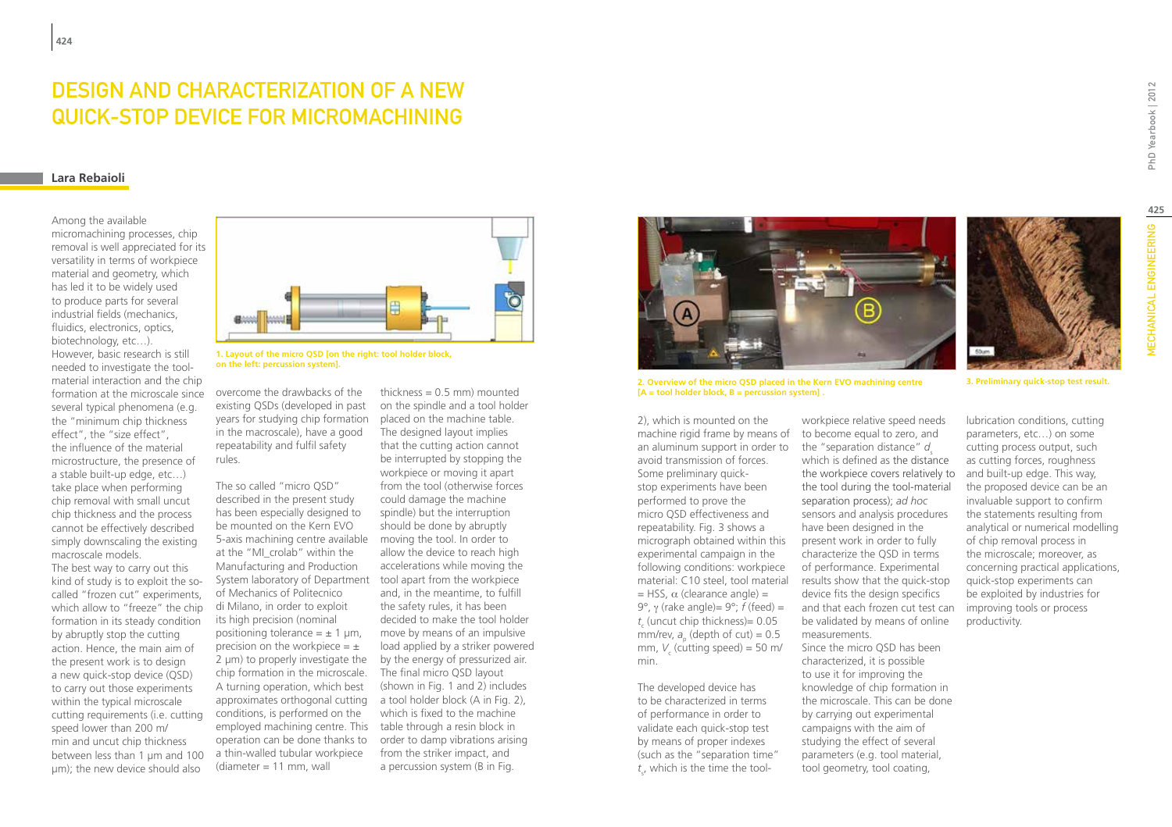# DESIGN AND CHARACTERIZATION OF A NEW QUICK-STOP DEVICE FOR MICROMACHINING

### **Lara Rebaioli**

Among the available micromachining processes, chip removal is well appreciated for its versatility in terms of workpiece material and geometry, which has led it to be widely used to produce parts for several industrial fields (mechanics, fluidics, electronics, optics, biotechnology, etc…). However, basic research is still needed to investigate the toolmaterial interaction and the chip formation at the microscale since several typical phenomena (e.g. the "minimum chip thickness effect", the "size effect", the influence of the material microstructure, the presence of a stable built-up edge, etc…) take place when performing chip removal with small uncut chip thickness and the process cannot be effectively described simply downscaling the existing macroscale models.

The best way to carry out this kind of study is to exploit the socalled "frozen cut" experiments, which allow to "freeze" the chip formation in its steady condition by abruptly stop the cutting action. Hence, the main aim of the present work is to design a new quick-stop device (QSD) to carry out those experiments within the typical microscale cutting requirements (i.e. cutting speed lower than 200 m/ min and uncut chip thickness between less than 1 μm and 100 μm); the new device should also



**1. Layout of the micro QSD [on the right: tool holder block, on the left: percussion system].**

overcome the drawbacks of the existing QSDs (developed in past years for studying chip formation in the macroscale), have a good repeatability and fulfil safety rules.

The so called "micro QSD" described in the present study has been especially designed to be mounted on the Kern EVO 5-axis machining centre available at the "MI\_crolab" within the Manufacturing and Production System laboratory of Department tool apart from the workpiece of Mechanics of Politecnico di Milano, in order to exploit its high precision (nominal positioning tolerance =  $\pm$  1 µm, precision on the workpiece  $=$   $\pm$ 2 μm) to properly investigate the chip formation in the microscale. A turning operation, which best approximates orthogonal cutting a tool holder block (A in Fig. 2), conditions, is performed on the employed machining centre. This operation can be done thanks to a thin-walled tubular workpiece  $(diameter = 11$  mm, wall

thickness  $= 0.5$  mm) mounted on the spindle and a tool holder placed on the machine table. The designed layout implies that the cutting action cannot be interrupted by stopping the workpiece or moving it apart from the tool (otherwise forces could damage the machine spindle) but the interruption should be done by abruptly moving the tool. In order to allow the device to reach high accelerations while moving the and, in the meantime, to fulfill the safety rules, it has been decided to make the tool holder move by means of an impulsive load applied by a striker powered by the energy of pressurized air. The final micro QSD layout (shown in Fig. 1 and 2) includes which is fixed to the machine table through a resin block in order to damp vibrations arising from the striker impact, and a percussion system (B in Fig.



**2. Overview of the micro QSD placed in the Kern EVO machining centre [A = tool holder block, B = percussion system] .**

2), which is mounted on the machine rigid frame by means of to become equal to zero, and an aluminum support in order to avoid transmission of forces. Some preliminary quickstop experiments have been performed to prove the micro QSD effectiveness and repeatability. Fig. 3 shows a micrograph obtained within this experimental campaign in the following conditions: workpiece material: C10 steel, tool material  $=$  HSS,  $\alpha$  (clearance angle) =  $9^\circ$ ,  $\gamma$  (rake angle)=  $9^\circ$ ; *f* (feed) = *t* (uncut chip thickness)= 0.05  $\frac{c_{\rm c}}{m}$  (depth of cut) = 0.5 mm,  $V_c$  (cutting speed) = 50 m/ min.

The developed device has to be characterized in terms of performance in order to validate each quick-stop test by means of proper indexes (such as the "separation time" *t* s , which is the time the tool-

workpiece relative speed needs the "separation distance" d which is defined as the distance the workpiece covers relatively to the tool during the tool-material separation process); *ad hoc* sensors and analysis procedures have been designed in the present work in order to fully characterize the QSD in terms of performance. Experimental results show that the quick-stop device fits the design specifics and that each frozen cut test can be validated by means of online measurements. Since the micro QSD has been characterized, it is possible

to use it for improving the knowledge of chip formation in the microscale. This can be done by carrying out experimental campaigns with the aim of studying the effect of several parameters (e.g. tool material, tool geometry, tool coating,

PhD Yearbook | 2012

**3. Preliminary quick-stop test result.**

lubrication conditions, cutting parameters, etc…) on some cutting process output, such as cutting forces, roughness and built-up edge. This way, the proposed device can be an invaluable support to confirm the statements resulting from analytical or numerical modelling of chip removal process in the microscale; moreover, as concerning practical applications, quick-stop experiments can be exploited by industries for improving tools or process productivity.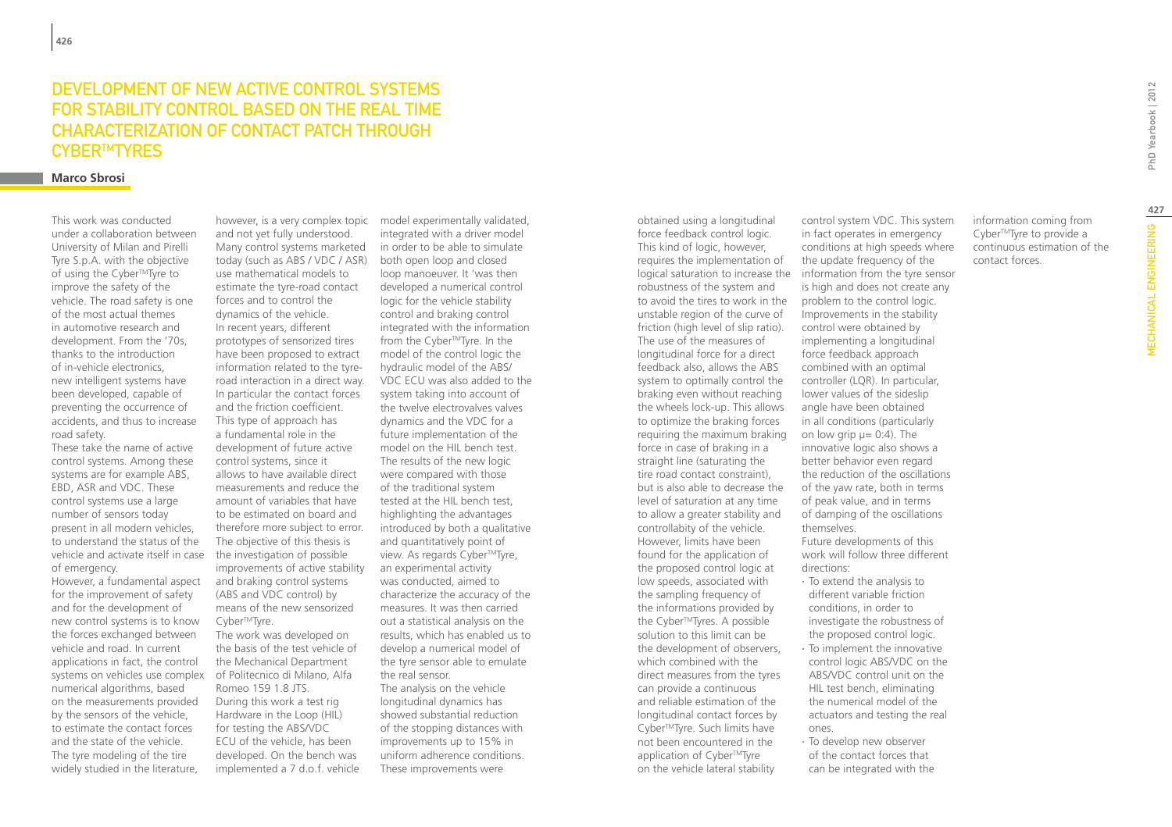### Development of new active control systems FOR STABILITY CONTROL BASED ON THE REAL TIME characterization of contact patch through CYBER™TYRES

### **Marco Sbrosi**

This work was conducted under a collaboration between University of Milan and Pirelli Tyre S.p.A. with the objective of using the Cyber™Tyre to improve the safety of the vehicle. The road safety is one of the most actual themes in automotive research and development. From the '70s, thanks to the introduction of in-vehicle electronics, new intelligent systems have been developed, capable of preventing the occurrence of accidents, and thus to increase road safety.

These take the name of active control systems. Among these systems are for example ABS, EBD, ASR and VDC. These control systems use a large number of sensors today present in all modern vehicles, to understand the status of the vehicle and activate itself in case of emergency.

However, a fundamental aspect for the improvement of safety and for the development of new control systems is to know the forces exchanged between vehicle and road. In current applications in fact, the control systems on vehicles use complex numerical algorithms, based on the measurements provided by the sensors of the vehicle, to estimate the contact forces and the state of the vehicle. The tyre modeling of the tire widely studied in the literature,

and not yet fully understood. Many control systems marketed today (such as ABS / VDC / ASR) use mathematical models to estimate the tyre-road contact forces and to control the dynamics of the vehicle. In recent years, different prototypes of sensorized tires have been proposed to extract information related to the tyreroad interaction in a direct way. In particular the contact forces and the friction coefficient. This type of approach has a fundamental role in the development of future active control systems, since it allows to have available direct measurements and reduce the amount of variables that have to be estimated on board and therefore more subject to error. The objective of this thesis is the investigation of possible improvements of active stability and braking control systems (ABS and VDC control) by means of the new sensorized Cyber<sup>™</sup>Tyre. The work was developed on the basis of the test vehicle of

the Mechanical Department of Politecnico di Milano, Alfa Romeo 159 1.8 JTS. During this work a test rig Hardware in the Loop (HIL) for testing the ABS/VDC ECU of the vehicle, has been developed. On the bench was implemented a 7 d.o.f. vehicle

however, is a very complex topic model experimentally validated, integrated with a driver model in order to be able to simulate both open loop and closed loop manoeuver. It 'was then developed a numerical control logic for the vehicle stability control and braking control integrated with the information from the Cyber™Tyre. In the model of the control logic the hydraulic model of the ABS/ VDC ECU was also added to the system taking into account of the twelve electrovalves valves dynamics and the VDC for a future implementation of the model on the HIL bench test. The results of the new logic were compared with those of the traditional system tested at the HIL bench test, highlighting the advantages introduced by both a qualitative and quantitatively point of view. As regards Cyber™Tyre, an experimental activity was conducted, aimed to characterize the accuracy of the measures. It was then carried out a statistical analysis on the results, which has enabled us to develop a numerical model of the tyre sensor able to emulate the real sensor. The analysis on the vehicle longitudinal dynamics has showed substantial reduction of the stopping distances with improvements up to 15% in uniform adherence conditions. These improvements were

obtained using a longitudinal force feedback control logic. This kind of logic, however, requires the implementation of logical saturation to increase the robustness of the system and to avoid the tires to work in the unstable region of the curve of friction (high level of slip ratio). The use of the measures of longitudinal force for a direct feedback also, allows the ABS system to optimally control the braking even without reaching the wheels lock-up. This allows to optimize the braking forces requiring the maximum braking force in case of braking in a straight line (saturating the tire road contact constraint), but is also able to decrease the level of saturation at any time to allow a greater stability and controllabity of the vehicle. However, limits have been found for the application of the proposed control logic at low speeds, associated with the sampling frequency of the informations provided by the Cyber™Tyres. A possible solution to this limit can be the development of observers, which combined with the direct measures from the tyres can provide a continuous and reliable estimation of the longitudinal contact forces by Cyber<sup>™</sup>Tyre. Such limits have not been encountered in the application of Cyber™Tyre on the vehicle lateral stability

control system VDC. This system in fact operates in emergency conditions at high speeds where the update frequency of the information from the tyre sensor is high and does not create any problem to the control logic. Improvements in the stability control were obtained by implementing a longitudinal force feedback approach combined with an optimal controller (LQR). In particular, lower values of the sideslip angle have been obtained in all conditions (particularly on low grip  $\mu$  = 0:4). The innovative logic also shows a better behavior even regard the reduction of the oscillations of the yaw rate, both in terms of peak value, and in terms of damping of the oscillations themselves. Future developments of this work will follow three different directions: ∙ To extend the analysis to different variable friction conditions, in order to investigate the robustness of the proposed control logic. ∙ To implement the innovative control logic ABS/VDC on the

information coming from Cyber™Tyre to provide a continuous estimation of the contact forces.

- 
- ABS/VDC control unit on the HIL test bench, eliminating the numerical model of the actuators and testing the real ones.
- ∙ To develop new observer of the contact forces that can be integrated with the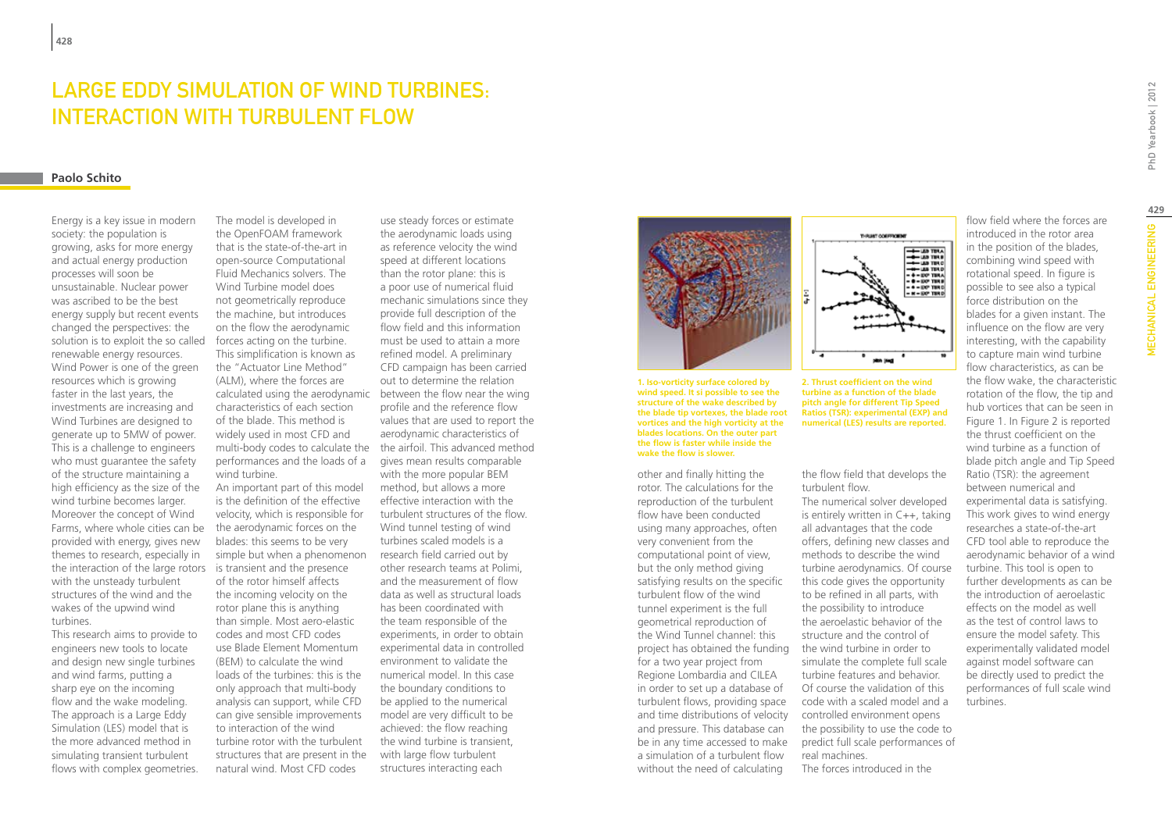### Large Eddy Simulation of Wind Turbines: interaction with turbulent flow

### **Paolo Schito**

Energy is a key issue in modern society: the population is growing, asks for more energy and actual energy production processes will soon be unsustainable. Nuclear power was ascribed to be the best energy supply but recent events changed the perspectives: the solution is to exploit the so called renewable energy resources. Wind Power is one of the green resources which is growing faster in the last years, the investments are increasing and Wind Turbines are designed to generate up to 5MW of power. This is a challenge to engineers who must guarantee the safety of the structure maintaining a high efficiency as the size of the wind turbine becomes larger. Moreover the concept of Wind Farms, where whole cities can be provided with energy, gives new themes to research, especially in the interaction of the large rotors is transient and the presence with the unsteady turbulent structures of the wind and the wakes of the upwind wind turbines.

This research aims to provide to engineers new tools to locate and design new single turbines and wind farms, putting a sharp eye on the incoming flow and the wake modeling. The approach is a Large Eddy Simulation (LES) model that is the more advanced method in simulating transient turbulent flows with complex geometries.

The model is developed in the OpenFOAM framework that is the state-of-the-art in open-source Computational Fluid Mechanics solvers. The Wind Turbine model does not geometrically reproduce the machine, but introduces on the flow the aerodynamic forces acting on the turbine. This simplification is known as the "Actuator Line Method" (ALM), where the forces are characteristics of each section of the blade. This method is widely used in most CFD and performances and the loads of a wind turbine. An important part of this model is the definition of the effective

velocity, which is responsible for the aerodynamic forces on the blades: this seems to be very simple but when a phenomenon of the rotor himself affects the incoming velocity on the rotor plane this is anything than simple. Most aero-elastic codes and most CFD codes use Blade Element Momentum (BEM) to calculate the wind loads of the turbines: this is the only approach that multi-body analysis can support, while CFD can give sensible improvements to interaction of the wind turbine rotor with the turbulent structures that are present in the natural wind. Most CFD codes

calculated using the aerodynamic between the flow near the wing multi-body codes to calculate the the airfoil. This advanced method use steady forces or estimate the aerodynamic loads using as reference velocity the wind speed at different locations than the rotor plane: this is a poor use of numerical fluid mechanic simulations since they provide full description of the flow field and this information must be used to attain a more refined model. A preliminary CFD campaign has been carried out to determine the relation profile and the reference flow values that are used to report the aerodynamic characteristics of gives mean results comparable with the more popular BEM method, but allows a more effective interaction with the turbulent structures of the flow. Wind tunnel testing of wind turbines scaled models is a research field carried out by other research teams at Polimi, and the measurement of flow data as well as structural loads has been coordinated with the team responsible of the experiments, in order to obtain experimental data in controlled environment to validate the numerical model. In this case the boundary conditions to be applied to the numerical model are very difficult to be achieved: the flow reaching the wind turbine is transient, with large flow turbulent structures interacting each



**1. Iso-vorticity surface colored by wind speed. It si possible to see the structure of the wake described by the blade tip vortexes, the blade root vortices and the high vorticity at the blades locations. On the outer part the flow is faster while inside the wake the flow is slower.**

other and finally hitting the rotor. The calculations for the reproduction of the turbulent flow have been conducted using many approaches, often very convenient from the computational point of view, but the only method giving satisfying results on the specific turbulent flow of the wind tunnel experiment is the full geometrical reproduction of the Wind Tunnel channel: this project has obtained the funding for a two year project from Regione Lombardia and CILEA in order to set up a database of turbulent flows, providing space and time distributions of velocity and pressure. This database can be in any time accessed to make a simulation of a turbulent flow without the need of calculating



**2. Thrust coefficient on the wind turbine as a function of the blade pitch angle for different Tip Speed Ratios (TSR): experimental (EXP) and numerical (LES) results are reported.**

the flow field that develops the turbulent flow.

The numerical solver developed is entirely written in C++, taking all advantages that the code offers, defining new classes and methods to describe the wind turbine aerodynamics. Of course this code gives the opportunity to be refined in all parts, with the possibility to introduce the aeroelastic behavior of the structure and the control of the wind turbine in order to simulate the complete full scale turbine features and behavior. Of course the validation of this code with a scaled model and a controlled environment opens the possibility to use the code to predict full scale performances of real machines. The forces introduced in the

combining wind speed with rotational speed. In figure is possible to see also a typical force distribution on the blades for a given instant. The influence on the flow are very interesting, with the capability to capture main wind turbine flow characteristics, as can be the flow wake, the characteristic rotation of the flow, the tip and hub vortices that can be seen in Figure 1. In Figure 2 is reported the thrust coefficient on the wind turbine as a function of blade pitch angle and Tip Speed Ratio (TSR): the agreement between numerical and experimental data is satisfying. This work gives to wind energy researches a state-of-the-art CFD tool able to reproduce the aerodynamic behavior of a wind turbine. This tool is open to further developments as can be the introduction of aeroelastic effects on the model as well as the test of control laws to ensure the model safety. This experimentally validated model against model software can be directly used to predict the performances of full scale wind turbines.

flow field where the forces are introduced in the rotor area in the position of the blades,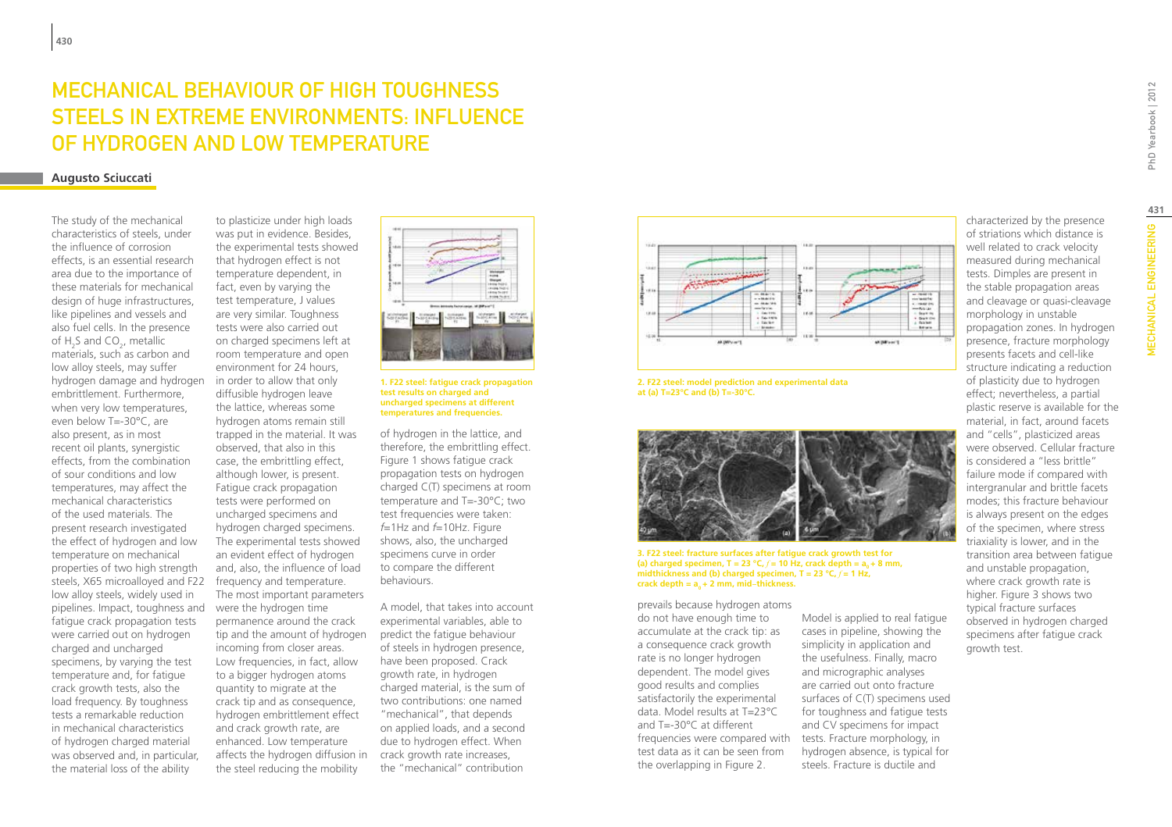# MECHANICAL BEHAVIOUR OF HIGH TOUGHNESS STEELS IN EXTREME ENVIRONMENTS: INFLUENCE OF HYDROGEN AND LOW TEMPERATURE

### **Augusto Sciuccati**

The study of the mechanical characteristics of steels, under the influence of corrosion effects, is an essential research area due to the importance of these materials for mechanical design of huge infrastructures. like pipelines and vessels and also fuel cells. In the presence of  $H_2S$  and CO<sub>2</sub>, metallic materials, such as carbon and low alloy steels, may suffer hydrogen damage and hydrogen embrittlement. Furthermore, when very low temperatures, even below T=-30°C, are also present, as in most recent oil plants, synergistic effects, from the combination of sour conditions and low temperatures, may affect the mechanical characteristics of the used materials. The present research investigated the effect of hydrogen and low temperature on mechanical properties of two high strength steels, X65 microalloyed and F22 low alloy steels, widely used in pipelines. Impact, toughness and fatigue crack propagation tests were carried out on hydrogen charged and uncharged specimens, by varying the test temperature and, for fatigue crack growth tests, also the load frequency. By toughness tests a remarkable reduction in mechanical characteristics of hydrogen charged material was observed and, in particular, the material loss of the ability

to plasticize under high loads was put in evidence. Besides, the experimental tests showed that hydrogen effect is not temperature dependent, in fact, even by varying the test temperature, J values are very similar. Toughness tests were also carried out on charged specimens left at room temperature and open environment for 24 hours, in order to allow that only diffusible hydrogen leave the lattice, whereas some hydrogen atoms remain still trapped in the material. It was observed, that also in this case, the embrittling effect, although lower, is present. Fatigue crack propagation tests were performed on uncharged specimens and hydrogen charged specimens. The experimental tests showed an evident effect of hydrogen and, also, the influence of load frequency and temperature. The most important parameters were the hydrogen time permanence around the crack tip and the amount of hydrogen incoming from closer areas. Low frequencies, in fact, allow to a bigger hydrogen atoms quantity to migrate at the crack tip and as consequence, hydrogen embrittlement effect and crack growth rate, are enhanced. Low temperature affects the hydrogen diffusion in crack growth rate increases, the steel reducing the mobility



#### **1. F22 steel: fatigue crack propagation test results on charged and uncharged specimens at different temperatures and frequencies.**

of hydrogen in the lattice, and therefore, the embrittling effect. Figure 1 shows fatigue crack propagation tests on hydrogen charged C(T) specimens at room temperature and T=-30°C; two test frequencies were taken: *f*=1Hz and *f*=10Hz. Figure shows, also, the uncharged specimens curve in order to compare the different behaviours.

A model, that takes into account experimental variables, able to predict the fatigue behaviour of steels in hydrogen presence, have been proposed. Crack growth rate, in hydrogen charged material, is the sum of two contributions: one named "mechanical", that depends on applied loads, and a second due to hydrogen effect. When the "mechanical" contribution



**2. F22 steel: model prediction and experimental data at (a) T=23°C and (b) T=-30°C.**



#### **3. F22 steel: fracture surfaces after fatigue crack growth test for**  (a) charged specimen,  $T = 23 \text{ °C}, f = 10 \text{ Hz}$ , crack depth =  $a_0 + 8 \text{ mm}$ , midthickness and (b) charged specimen,  $T = 23 \degree C$ ,  $f = 1$  Hz, crack depth =  $a_0 + 2$  mm, mid-thickness.

prevails because hydrogen atoms do not have enough time to accumulate at the crack tip: as a consequence crack growth rate is no longer hydrogen dependent. The model gives good results and complies satisfactorily the experimental data. Model results at T=23°C and T=-30°C at different frequencies were compared with test data as it can be seen from the overlapping in Figure 2.

Model is applied to real fatigue cases in pipeline, showing the simplicity in application and the usefulness. Finally, macro and micrographic analyses are carried out onto fracture surfaces of C(T) specimens used for toughness and fatigue tests and CV specimens for impact tests. Fracture morphology, in hydrogen absence, is typical for steels. Fracture is ductile and

characterized by the presence of striations which distance is well related to crack velocity measured during mechanical tests. Dimples are present in the stable propagation areas and cleavage or quasi-cleavage morphology in unstable propagation zones. In hydrogen presence, fracture morphology presents facets and cell-like structure indicating a reduction of plasticity due to hydrogen effect; nevertheless, a partial plastic reserve is available for the material, in fact, around facets and "cells", plasticized areas were observed. Cellular fracture is considered a "less brittle" failure mode if compared with intergranular and brittle facets modes; this fracture behaviour is always present on the edges of the specimen, where stress triaxiality is lower, and in the transition area between fatigue and unstable propagation, where crack growth rate is higher. Figure 3 shows two typical fracture surfaces observed in hydrogen charged specimens after fatigue crack growth test.

**431**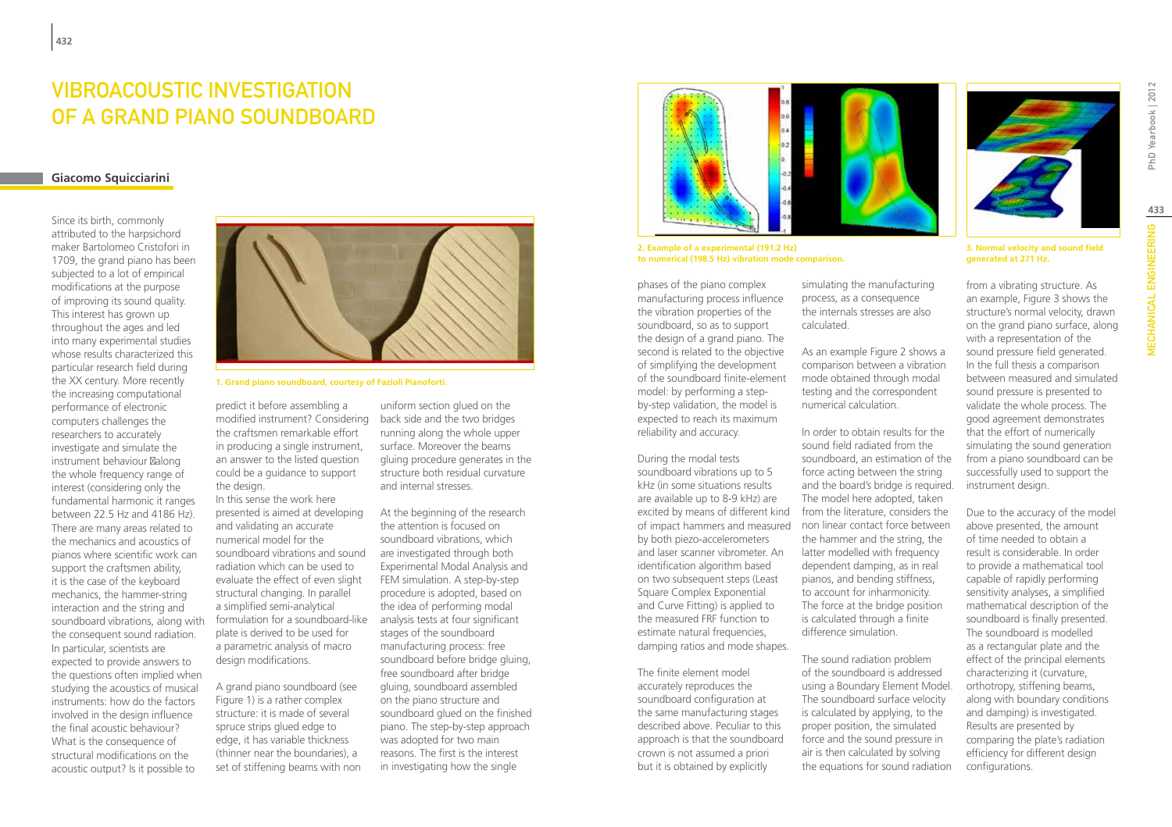# Vibroacoustic Investigation OF A GRAND PIANO SOUNDBOARD

### **Giacomo Squicciarini**

Since its birth, commonly attributed to the harpsichord maker Bartolomeo Cristofori in 1709, the grand piano has been subjected to a lot of empirical modifications at the purpose of improving its sound quality. This interest has grown up throughout the ages and led into many experimental studies whose results characterized this particular research field during the XX century. More recently the increasing computational performance of electronic computers challenges the researchers to accurately investigate and simulate the instrument behaviour along the whole frequency range of interest (considering only the fundamental harmonic it ranges between 22.5 Hz and 4186 Hz). There are many areas related to the mechanics and acoustics of pianos where scientific work can support the craftsmen ability, it is the case of the keyboard mechanics, the hammer-string interaction and the string and soundboard vibrations, along with the consequent sound radiation. In particular, scientists are expected to provide answers to the questions often implied when studying the acoustics of musical instruments: how do the factors involved in the design influence the final acoustic behaviour? What is the consequence of structural modifications on the acoustic output? Is it possible to



**1. Grand piano soundboard, courtesy of Fazioli Pianoforti.**

predict it before assembling a modified instrument? Considering the craftsmen remarkable effort in producing a single instrument, an answer to the listed question could be a guidance to support the design.

In this sense the work here presented is aimed at developing and validating an accurate numerical model for the soundboard vibrations and sound radiation which can be used to evaluate the effect of even slight structural changing. In parallel a simplified semi-analytical formulation for a soundboard-like plate is derived to be used for a parametric analysis of macro design modifications.

A grand piano soundboard (see Figure 1) is a rather complex structure: it is made of several spruce strips glued edge to edge, it has variable thickness (thinner near the boundaries), a set of stiffening beams with non

uniform section glued on the back side and the two bridges running along the whole upper surface. Moreover the beams gluing procedure generates in the structure both residual curvature and internal stresses.

At the beginning of the research the attention is focused on soundboard vibrations, which are investigated through both Experimental Modal Analysis and FEM simulation. A step-by-step procedure is adopted, based on the idea of performing modal analysis tests at four significant stages of the soundboard manufacturing process: free soundboard before bridge gluing, free soundboard after bridge gluing, soundboard assembled on the piano structure and soundboard glued on the finished piano. The step-by-step approach was adopted for two main reasons. The first is the interest in investigating how the single



**2. Example of a experimental (191.2 Hz) to numerical (198.5 Hz) vibration mode comparison.**

phases of the piano complex manufacturing process influence the vibration properties of the soundboard, so as to support the design of a grand piano. The second is related to the objective of simplifying the development of the soundboard finite-element model: by performing a stepby-step validation, the model is expected to reach its maximum reliability and accuracy.

During the modal tests soundboard vibrations up to 5 kHz (in some situations results are available up to 8-9 kHz) are excited by means of different kind by both piezo-accelerometers and laser scanner vibrometer. An identification algorithm based on two subsequent steps (Least Square Complex Exponential and Curve Fitting) is applied to the measured FRF function to estimate natural frequencies. damping ratios and mode shapes.

The finite element model accurately reproduces the soundboard configuration at the same manufacturing stages described above. Peculiar to this approach is that the soundboard crown is not assumed a priori but it is obtained by explicitly

simulating the manufacturing process, as a consequence the internals stresses are also calculated.

As an example Figure 2 shows a comparison between a vibration mode obtained through modal testing and the correspondent numerical calculation.

of impact hammers and measured non linear contact force between In order to obtain results for the sound field radiated from the soundboard, an estimation of the force acting between the string and the board's bridge is required. The model here adopted, taken from the literature, considers the the hammer and the string, the latter modelled with frequency dependent damping, as in real pianos, and bending stiffness, to account for inharmonicity. The force at the bridge position is calculated through a finite difference simulation.

> The sound radiation problem of the soundboard is addressed using a Boundary Element Model. The soundboard surface velocity is calculated by applying, to the proper position, the simulated force and the sound pressure in air is then calculated by solving the equations for sound radiation

**3. Normal velocity and sound field generated at 271 Hz.**

from a vibrating structure. As an example, Figure 3 shows the structure's normal velocity, drawn on the grand piano surface, along with a representation of the sound pressure field generated. In the full thesis a comparison between measured and simulated sound pressure is presented to validate the whole process. The good agreement demonstrates that the effort of numerically simulating the sound generation from a piano soundboard can be successfully used to support the instrument design.

Due to the accuracy of the model above presented, the amount of time needed to obtain a result is considerable. In order to provide a mathematical tool capable of rapidly performing sensitivity analyses, a simplified mathematical description of the soundboard is finally presented. The soundboard is modelled as a rectangular plate and the effect of the principal elements characterizing it (curvature, orthotropy, stiffening beams, along with boundary conditions and damping) is investigated. Results are presented by comparing the plate's radiation efficiency for different design configurations.

PhD Yearbook | 2012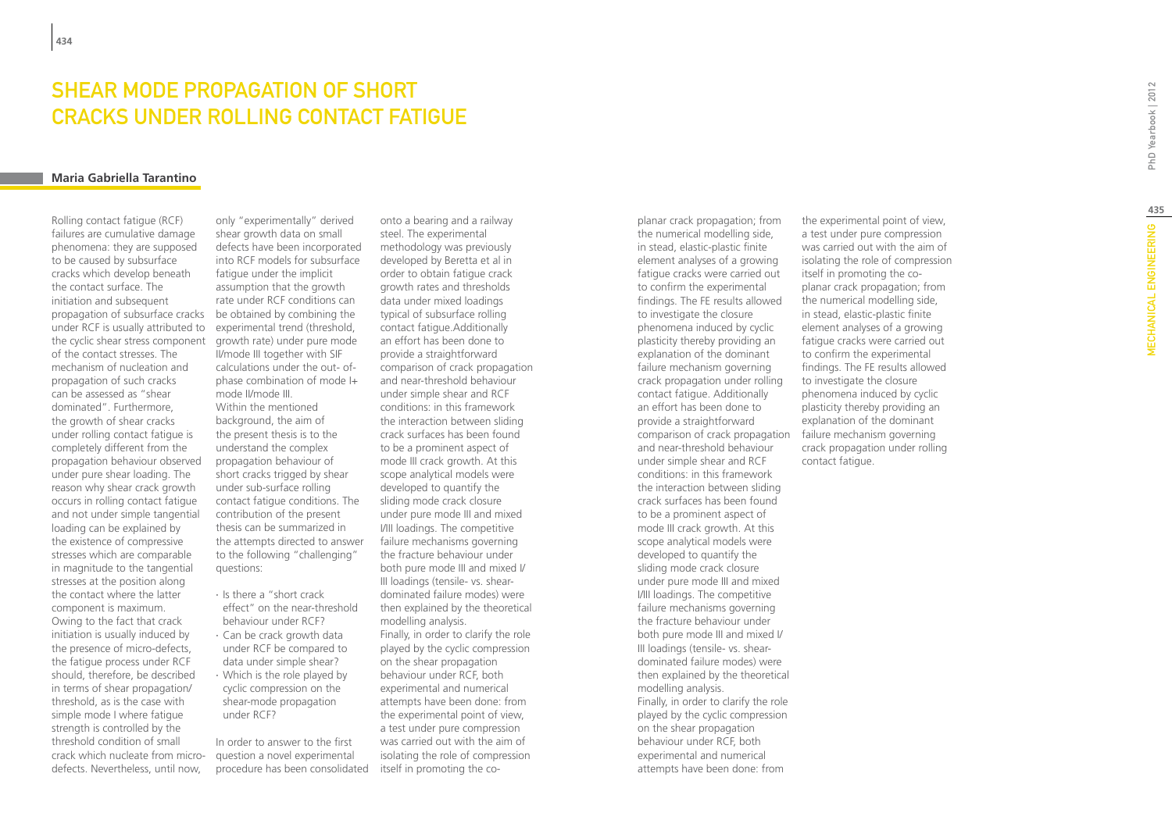# Shear mode propagation of short cracks under rolling contact fatigue

### **Maria Gabriella Tarantino**

Rolling contact fatigue (RCF) failures are cumulative damage phenomena: they are supposed to be caused by subsurface cracks which develop beneath the contact surface. The initiation and subsequent propagation of subsurface cracks be obtained by combining the under RCF is usually attributed to the cyclic shear stress component of the contact stresses. The mechanism of nucleation and propagation of such cracks can be assessed as "shear dominated". Furthermore, the growth of shear cracks under rolling contact fatigue is completely different from the propagation behaviour observed under pure shear loading. The reason why shear crack growth occurs in rolling contact fatigue and not under simple tangential loading can be explained by the existence of compressive stresses which are comparable in magnitude to the tangential stresses at the position along the contact where the latter component is maximum. Owing to the fact that crack initiation is usually induced by the presence of micro-defects, the fatigue process under RCF should, therefore, be described in terms of shear propagation/ threshold, as is the case with simple mode I where fatigue strength is controlled by the threshold condition of small crack which nucleate from microdefects. Nevertheless, until now,

only "experimentally" derived shear growth data on small defects have been incorporated into RCF models for subsurface fatigue under the implicit assumption that the growth rate under RCF conditions can experimental trend (threshold, growth rate) under pure mode II/mode III together with SIF calculations under the out- ofphase combination of mode I+ mode II/mode III. Within the mentioned background, the aim of the present thesis is to the understand the complex propagation behaviour of short cracks trigged by shear under sub-surface rolling contact fatigue conditions. The contribution of the present thesis can be summarized in the attempts directed to answer to the following "challenging" questions:

∙ Is there a "short crack effect" on the near-threshold behaviour under RCF? ∙ Can be crack growth data under RCF be compared to data under simple shear? ∙ Which is the role played by cyclic compression on the shear-mode propagation under RCF?

In order to answer to the first question a novel experimental procedure has been consolidated itself in promoting the co-

onto a bearing and a railway steel. The experimental methodology was previously developed by Beretta et al in order to obtain fatigue crack growth rates and thresholds data under mixed loadings typical of subsurface rolling contact fatigue.Additionally an effort has been done to provide a straightforward comparison of crack propagation and near-threshold behaviour under simple shear and RCF conditions: in this framework the interaction between sliding crack surfaces has been found to be a prominent aspect of mode III crack growth. At this scope analytical models were developed to quantify the sliding mode crack closure under pure mode III and mixed I/III loadings. The competitive failure mechanisms governing the fracture behaviour under both pure mode III and mixed I/ III loadings (tensile- vs. sheardominated failure modes) were then explained by the theoretical modelling analysis. Finally, in order to clarify the role played by the cyclic compression on the shear propagation behaviour under RCF, both experimental and numerical attempts have been done: from the experimental point of view, a test under pure compression was carried out with the aim of isolating the role of compression

planar crack propagation; from the numerical modelling side, in stead, elastic-plastic finite element analyses of a growing fatigue cracks were carried out to confirm the experimental findings. The FE results allowed to investigate the closure phenomena induced by cyclic plasticity thereby providing an explanation of the dominant failure mechanism governing crack propagation under rolling contact fatigue. Additionally an effort has been done to provide a straightforward comparison of crack propagation failure mechanism governing and near-threshold behaviour under simple shear and RCF conditions: in this framework the interaction between sliding crack surfaces has been found to be a prominent aspect of mode III crack growth. At this scope analytical models were developed to quantify the sliding mode crack closure under pure mode III and mixed I/III loadings. The competitive failure mechanisms governing the fracture behaviour under both pure mode III and mixed I/ III loadings (tensile- vs. sheardominated failure modes) were then explained by the theoretical modelling analysis. Finally, in order to clarify the role played by the cyclic compression on the shear propagation behaviour under RCF, both experimental and numerical attempts have been done: from

the experimental point of view, a test under pure compression was carried out with the aim of isolating the role of compression itself in promoting the coplanar crack propagation; from the numerical modelling side, in stead, elastic-plastic finite element analyses of a growing fatigue cracks were carried out to confirm the experimental findings. The FE results allowed to investigate the closure phenomena induced by cyclic plasticity thereby providing an explanation of the dominant crack propagation under rolling contact fatigue.